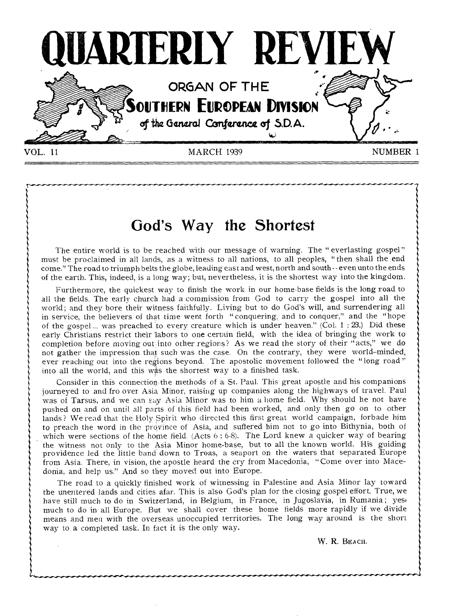

# **God's Way the Shortest**

The entire world is to be reached with our message of warning. The "everlasting gospel" must be proclaimed in all lands, as a witness to all nations, to all peoples, " then shall the end come." The road to triumph belts the globe, leading east and west, north and south-- even unto the ends of the earth. This, indeed, is a long way; but, nevertheless, it is the shortest way into the kingdom.

Furthermore, the quickest way to finish the work in our home-base fields is the long road to all the fields. The early church had a commission from God to carry the gospel into all the world; and they bore their witness faithfully. Living but to do God's will, and surrendering all in service, the believers of that time went forth "conquering, and to conquer," and the "hope of the gospel... was preached to every creature which is under heaven." (Col.  $1:23$ .) Did these early Christians restrict their labors to one certain field, with the idea of bringing the work to completion before moving out into other regions? As we read the story of their "acts," we do not gather the impression that such was the case. On the contrary, they were world-minded, ever reaching out into the regions beyond. The apostolic movement followed the "long road" into all the world, and this was the shortest way to a finished task.

Consider in this connection the methods of a St. Paul. This great apostle and his companions journeyed to and fro over Asia Minor, raising up companies along the highways of travel. Paul was of Tarsus, and we can say Asia Minor was to him a home field. Why should he not have pushed on and on until all parts of this field had been worked, and only then go on to other lands ? We read that the Holy Spirit who directed this first great world campaign, forbade him to preach the word in the province of Asia, and suffered him not to go into Bithynia, both of which were sections of the home field. (Acts 6:6-8). The Lord knew a quicker way of bearing the witness not only to the Asia Minor home-base, but to all the known world. His guiding providence led the little band down to Troas, a seaport on the waters that separated Europe from Asia. There, in vision, the apostle heard the cry from Macedonia, "Come over into Macedonia, and help us." And so they moved out into Europe.

The road to a quickly finished work of witnessing in Palestine and Asia Minor lay toward the unentered lands and cities afar. This is also God's plan for the closing gospel effort. True, we have still much to do in Switzerland, in Belgium, in France, in Jugoslavia, in Rumania; yes, much to do in all Europe. But we shall cover these home fields more rapidly if we divide means and men with the overseas unoccupied territories. The long way around is the short way to a completed task. In fact it is the only way.

W. R. BEACH.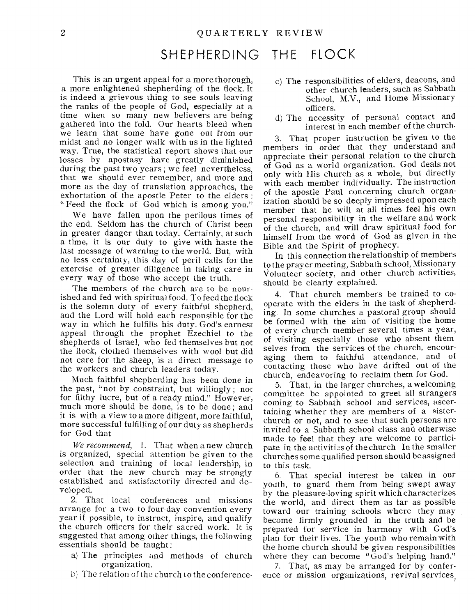# SHEPHERDING THE FLOCK

This is an urgent appeal for a more thorough, a more enlightened shepherding of the flock. It is indeed a grievous thing to see souls leaving the ranks of the people of God, especially at a time when so many new believers are being gathered into the fold. Our hearts bleed when we learn that some have gone out from our midst and no longer walk with us in the lighted way. True, the statistical report shows that our losses by apostasy have greatly diminished during the past two years; we feel nevertheless, that we should ever remember, and more and more as the day of translation approaches, the exhortation of the apostle Peter to the elders : " Feed the flock of God which is among you."

We have fallen upon the perilous times of the end. Seldom has the church of Christ been in greater danger than today. Certainly, at such a time, it is our duty to give with haste the last message of warning to the world. But, with no less certainty, this day of peril calls for the exercise of greater diligence in taking care in every way of those who accept the truth.

The members of the church are to be nourished and fed with spiritual food. To feed the flock is the solemn duty of every faithful shepherd, and the Lord will hold each responsible for the way in which he fulfills his duty. God's earnest appeal through the prophet Ezechiel to the shepherds of Israel, who fed themselves but not the flock, clothed themselves with wool but did not care for the sheep, is a direct message to the workers and church leaders today.

Much faithful shepherding has been done in the past, "not by constraint, but willingly; not for filthy lucre, but of a ready mind." However, much more should be done, is to be done; and it is with a view to a more diligent, more faithful, more successful fulfilling of our duty as shepherds for God that

*We recommend,* 1. That when a new church is organized, special attention be given to the selection and training of local leadership, in order that the new church may he strongly established and satisfactorily directed and developed.

2. That local conferences and missions arrange for a two to four-day convention every year if possible, to instruct, inspire, and qualify the church officers for their sacred work. It is suggested that among other things, the following essentials should be taught :

- a) The principles and methods of church organization.
- b) The relation of the church to the conference.
- c) The responsibilities of elders, deacons, and other church leaders, such as Sabbath School, M.V., and Home Missionary officers.
- d) The necessity of personal contact and interest in each member of the church.

3. That proper instruction be given to the members in order that they understand and appreciate their personal relation to the church of God as a world organization. God deals not only with His church as a whole, but directly with each member individually. The instruction of the apostle Paul concerning church organization should be so deeply impressed upon each member that he will at all times feel his own personal responsibility in the welfare and work of the church, and will draw spiritual food for himself from the word of God as given in the Bible and the Spirit of prophecy.

In this connection the relationship of members to the prayer meeting, Sabbath school, Missionary Volunteer society, and other church activities, should be clearly explained.

4. That church members be trained to cooperate with the elders in the task of shepherding. In some churches a pastoral group should be formed with the aim of visiting the home of every church member several times a year, of visiting especially those who absent them selves from the services of the church, encouraging them to faithful attendance, and of contacting those who have drifted out of the church, endeavoring to reclaim them for God.

5. That, in the larger churches, a welcoming committee be appointed to greet all strangers coming to Sabbath school and services, ascertaining whether they are members of a sisterchurch or not, and to see that such persons are invited to a Sabbath school class and otherwise made to feel that they are welcome to participate in the activitizs of the church In the smaller churches some qualified person should be assigned to this task.

6. That special interest be taken in our youth, to guard them from being swept away by the pleasure-loving spirit which characterizes the world, and direct them as tar as possible toward our training schools where they may become firmly grounded in the truth and be prepared for service in harmony with God's plan for their lives. The youth who remain with the home church should be given responsibilities where they can become "God's helping hand."

7. That, as may be arranged for by conference or mission organizations, revival services,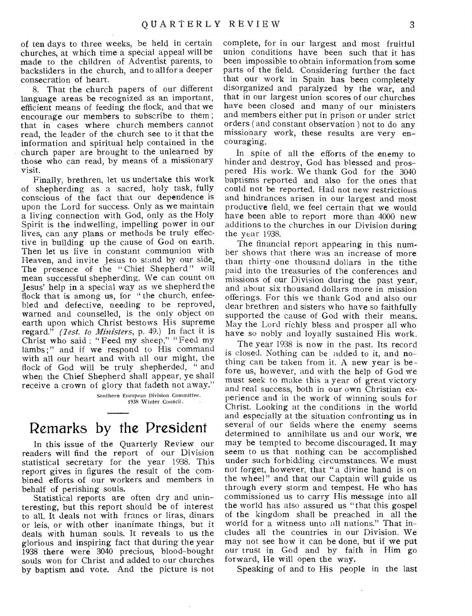of ten days to three weeks, be held in certain churches, at which time a special appeal will be made to the children of Adventist parents, to backsliders in the church, and to allfor a deeper consecration of heart.

8. That the church papers of our different language areas be recognized as an important, efficient means of feeding the flock, and that we encourage our members to subscribe to them ; that in cases where church members cannot read, the leader of the church see to it that the information and spiritual help contained in the church paper are brought to the unlearned by those who can read, by means of a missionary visit.

Finally, brethren, let us undertake this work of shepherding as a sacred, holy task, fully conscious of the fact that our dependence is upon the Lord for success. Only as we maintain a living connection with God, only as the Holy Spirit is the indwelling, impelling power in our lives, can any plans or methods be truly effective in building up the cause of God on earth. Then let us live in constant communion with Heaven, and invite Jesus to stand by our side. The presence of the "Chief Shepherd" will mean successful shepherding. We can count on Jesus' help in a special way as we shepherd the flock that is among us, for "the church, enfeebled and defective, needing to be reproved, warned and counselled, is the only object on earth upon which Christ bestows His supreme regard." *(Zest. to Ministers,* p. 49.) In fact it is Christ who said : "Feed my sheep," "Feed my lambs;" and if we respond to His command with all our heart and with all our might, the flock of God will be truly shepherded, " and when the Chief Shepherd shall appear, ye shall receive a crown of glory that fadeth not away."

> Southern European Division Committee. 1935 Winter Council.

# Remarks by the President

In this issue of the Quarterly Review our readers will find the report of our Division statistical secretary for the year 1938. This report gives in figures the result of the combined efforts of our workers and members in behalf of perishing souls.

Statistical reports are often dry and uninteresting, but this report should be of interest to all. It deals not with francs or liras, dinars or leis, or with other inanimate things, but it deals with human souls. It reveals to us the glorious and inspiring fact that during the year 1938 there were 3040 precious, blood-bought souls won for Christ and added to our churches by baptism and vote. And the picture is not

complete, for in our largest and most fruitful union conditions have been such that it has been impossible to obtain information from some parts of the field. Considering further the fact that our work in Spain has been completely disorganized and paralyzed by the war, and that in our largest union scores of our churches have been closed and many of our ministers and members either put in prison or under strict orders ( and constant observation) not to do any missionary work, these results are very encouraging.

In spite of all the efforts of the enemy to hinder and destroy, God has blessed and prospered His work. We thank God for the 3040 baptisms reported and also for the ones that could not be reported. Had not new restrictions and hindrances arisen in our largest and most productive field, we feel certain that we would have been able to report more than 4000 new additions to the churches in our Division during the year 1938.

The financial report appearing in this number shows that there was an increase of more than thirty -one thousand dollars in the tithe paid into the treasuries of the conferences and missions of our Division during the past year, and about six thousand dollars more in mission offerings. For this we thank God and also our dear brethren and sisters who have so faithfully supported the cause of God with their means. May the Lord richly bless and prosper all who have so nobly and loyally sustained His work.

The year 1938 is now in the past. Its record is closed. Nothing can be added to it, and nothing can be taken from it. A new year is before us, however, and with the help of God we must seek to make this a year of great victory and real success, both in our own Christian experience and in the work of winning souls for Christ. Looking at the conditions in the world and especially at the situation confronting us in several of our fields where the enemy seems determined to annihilate us and our work, we may be tempted to become discouraged. It may seem to us that nothing can be accomplished under such forbidding circumstances. We must not forget, however, that " a divine hand is on the wheel" and that our Captain will guide us through every storm and tempest. He who has commissioned us to carry His message into all the world has also assured us "that this gospel of the kingdom shall be preached in all the world for a witness unto all nations." That includes all the countries in our Division. We may not see how it can be done, but if we put our trust in God and by faith in Him go forward, He will open the way.

Speaking of and to His people in the last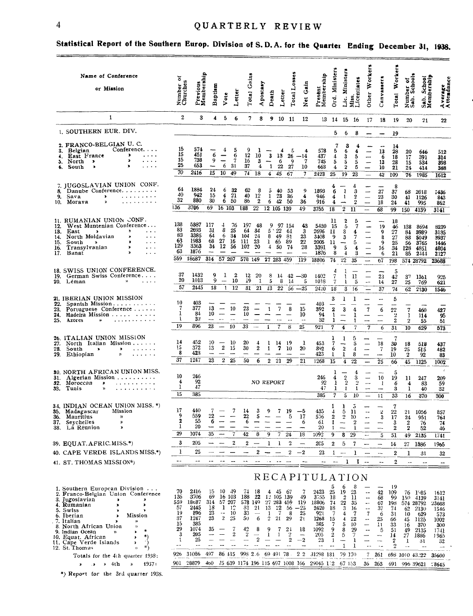$\equiv$ 

# 4 QUARTERLY REVIEW

# **Statistical Report of the Southern Europ. Division of S. D.A. for the Quartet Ending December 3l, 1938.**

| Name of Conference<br>or Mission                                                                                                                                                                                                                                                                                                                              | ៵<br>Number of<br>Churches                                                | Previous<br>Membership                                                                           | Baptism                                                        | Vote                                                                        | etter                                                  | Gains<br><b>Total</b>                                                   | Apostasy                                                                       | Death                                                            | Letter                                     | $_{Losses}$<br><b>Total</b>                                                    | Gain<br>$\tilde{\mathbf{z}}$                                         | Membership<br>Present                                                    | Ord. Ministers                                                   | <b>Ministers</b><br>.<br>آلـ                                                | Miss.<br>Licentiates                                                 | Other Workers                                                                                                                            | Canvassers                                                                   | Workers<br>Total                                                                    | Number of<br>Sab. School                                                       | Sab. School<br>Membership                                                            | Average<br>Attendance                                                     |
|---------------------------------------------------------------------------------------------------------------------------------------------------------------------------------------------------------------------------------------------------------------------------------------------------------------------------------------------------------------|---------------------------------------------------------------------------|--------------------------------------------------------------------------------------------------|----------------------------------------------------------------|-----------------------------------------------------------------------------|--------------------------------------------------------|-------------------------------------------------------------------------|--------------------------------------------------------------------------------|------------------------------------------------------------------|--------------------------------------------|--------------------------------------------------------------------------------|----------------------------------------------------------------------|--------------------------------------------------------------------------|------------------------------------------------------------------|-----------------------------------------------------------------------------|----------------------------------------------------------------------|------------------------------------------------------------------------------------------------------------------------------------------|------------------------------------------------------------------------------|-------------------------------------------------------------------------------------|--------------------------------------------------------------------------------|--------------------------------------------------------------------------------------|---------------------------------------------------------------------------|
| $\mathbf{1}$                                                                                                                                                                                                                                                                                                                                                  | 2                                                                         | 3                                                                                                | 4                                                              | 5                                                                           | 6                                                      | 7                                                                       | 8                                                                              |                                                                  | 9 10 11                                    |                                                                                | 12                                                                   |                                                                          |                                                                  | 13 14 15 16                                                                 |                                                                      | 17                                                                                                                                       | 18                                                                           | 19                                                                                  | 20                                                                             | 21                                                                                   | 22                                                                        |
| 1. SOUTHERN EUR. DIV.                                                                                                                                                                                                                                                                                                                                         |                                                                           |                                                                                                  |                                                                |                                                                             |                                                        |                                                                         |                                                                                |                                                                  |                                            |                                                                                |                                                                      |                                                                          | 5.                                                               | 6                                                                           | 8                                                                    | $\overline{\phantom{a}}$                                                                                                                 | $\overline{\phantom{0}}$                                                     | 19                                                                                  |                                                                                |                                                                                      |                                                                           |
| 2. FRANCO-BELGIAN U. C.<br>Conference.<br>Belgian<br>3.<br>$\blacktriangleright$<br>East France<br>4.<br>×<br>North $\rightarrow$<br>.<br>5.<br>,<br>.<br>South<br>$\pmb{\ast}$<br>6.                                                                                                                                                                         | 15<br>15<br>15<br>25<br>70                                                | 574<br>451<br>738<br>653<br>2416                                                                 | 6<br>9<br>$\overline{\phantom{0}}$<br>15                       | 4<br>$\overline{\phantom{m}}$<br>-<br>6<br>10 <sup>10</sup>                 | 5<br>6<br>7<br>31<br>49                                | q<br>12<br>16<br>37<br>$\overline{74}$                                  | 10<br>3<br>4<br>18                                                             | 3<br>1<br>$\overline{\mathbf{4}}$                                | 13<br>6<br>22<br>45                        | 5<br>26<br>9<br>27<br>67                                                       | 4<br>$-14$<br>7<br>10<br>7                                           | 578<br>437<br>745<br>663<br>2423                                         | 7<br>5<br>4<br>5<br>4<br>25                                      | 3<br>6<br>3<br>5<br>2<br>19                                                 | 4<br>4<br>5<br>5<br>5<br>23                                          | $\overline{\phantom{0}}$<br>$\overline{\phantom{a}}$<br>$\overline{\phantom{0}}$                                                         | 13<br>6<br>13<br>10<br>42                                                    | 14<br>28<br>18<br>28<br>21<br>109                                                   | 20<br>17<br>15<br>24<br>76                                                     | 646<br>391<br>534<br>414<br>1985                                                     | 512<br>314<br>398<br>388<br>1612                                          |
| 7. JUGOSLAVIAN UNION CONF.<br>Danube Conference<br>8.<br>9.<br>Sava<br>$\blacktriangleright$<br>$\mathbf{u}^{\top} \cdot \mathbf{u}^{\top} \cdot \mathbf{u}^{\top} \cdot \mathbf{u}^{\top} \cdot \mathbf{u}^{\top} \cdot \mathbf{u}^{\top} \cdot \mathbf{u}^{\top} \cdot \mathbf{u}^{\top}$<br>10.<br>Morava<br>$\mathbf{v}$<br>.                             | 64<br>40<br>32<br>136                                                     | 1884<br>942<br>880<br>3706                                                                       | 24<br>15<br>30<br>69                                           | 6<br>$\blacktriangleleft$<br>6<br>16 103                                    | 32<br>21<br>50                                         | 62<br>40<br>86<br>188                                                   | 8<br>12<br>$\boldsymbol{2}$<br>22                                              | 5<br>1<br>6<br>12 105 139                                        | 40<br>23<br>42                             | 53<br>36<br>50                                                                 | 9<br>$\overline{\mathbf{4}}$<br>36<br>49                             | 1893<br>946<br>916<br>3755                                               | 4<br>6<br>4<br>4<br>18                                           | ı<br>$\mathbf{1}$<br>$\bar{2}$                                              | 4<br>3<br>2<br>$\overline{2}$<br>11                                  | $\equiv$<br>$\overline{\phantom{0}}$<br>$\overline{\phantom{m}}$                                                                         | 27<br>23<br>18<br>$\overline{68}$                                            | 8<br>37<br>30<br>24<br>99                                                           | 68<br>41<br>41<br>150                                                          | 2018<br>1126<br>995<br>4139                                                          | 1436<br>843<br>862<br>3141                                                |
| 11. RUMANIAN UNION CONF.<br>West Muntenian Conference<br>12.<br>$\sim$ $\sim$ $\sim$<br>East<br>13.<br>$\blacktriangleright$<br>э<br>North Moldavian<br>$\pmb{\varkappa}$<br>$\cdots$<br>14.<br>South<br>$\mathbf{r}$<br>$\sim$ $\sim$ $\sim$<br>15.<br>$\alpha$<br>Transylvanian<br>$\lambda$<br>$\cdots$<br>16.<br>$\mathbf{v}$<br>Banat<br>17.<br>$\cdots$ | 138<br>83<br>83<br>63<br>129<br>63<br>559                                 | 5387<br>2693<br>3385<br>1983<br>3363<br>1876<br>18687                                            | 117<br>31<br>64<br>68<br>34<br>$\overline{\phantom{m}}$<br>314 | 4<br>8<br>6<br>27<br>12<br>$\overline{\phantom{0}}$<br>57 207               | 76<br>25<br>34<br>16<br>56<br>$\overline{\phantom{0}}$ | 197<br>64<br>104<br>111<br>102<br>$\overline{\phantom{0}}$<br>578 149   | - 48<br>34<br>24<br>23<br>20<br>$\sim$                                         | 9<br>5<br>8<br>ı.<br>4<br>$\overline{\phantom{0}}$<br>27 283 459 | 97 154<br>22<br>49<br>65.<br>50            | 61<br>81<br>89<br>-74                                                          | 43<br>3<br>23<br>${\bf 22}$<br>28<br>$\overline{\phantom{0}}$<br>119 | 5430<br>2696<br>3408<br>2005<br>3391<br>1876<br>18806                    | п<br>-15<br>11<br>-9<br>n<br>9<br>8<br>74                        | 2<br>-5<br>3<br>3<br>$\overline{\phantom{m}}$<br>5<br>4<br>$2\overline{2}$  | 5<br>7<br>4<br>7<br>5<br>4<br>3<br>35                                | $\overline{\phantom{0}}$<br>$\overline{\phantom{0}}$<br>$\equiv$<br>$\overline{\phantom{0}}$                                             | 19<br>9<br>8<br>9<br>16<br>6<br>67                                           | 18<br>46<br>27<br>27<br>25<br>34<br>21<br>198                                       | 138<br>84<br>83<br>56<br>128<br>85<br>574 28792                                | 8694<br>3989<br>5049<br>3765<br>4851<br>2444                                         | 8239<br>3135<br>3937<br>1446<br>4804<br>2127<br>23688                     |
| 18. SWISS UNION CONFERENCE.<br>German Swiss Conference<br>19.<br>$\mathfrak{p}$<br>20. Léman<br>$\sim$ $\sim$ $\sim$ $\sim$                                                                                                                                                                                                                                   | 37<br>20<br>57                                                            | 1432<br>1013<br>2445                                                                             | 9<br>9<br>18                                                   | 1<br>$\overline{\phantom{a}}$<br>$\mathbf{1}$                               | 2<br>10<br>12                                          | 12<br>i9<br>31                                                          | 20<br>1<br>21                                                                  | 8<br>5<br>13                                                     | 14<br>8<br>22                              | 42<br>14<br>$56 - 25$                                                          | $-30$<br>5                                                           | 1402<br>1018<br>2420                                                     | 4<br>7<br>$\overline{7}$<br>18                                   | 1<br>$\mathbf{1}$<br>ı.<br>3                                                | 11<br>5<br>16                                                        | $\equiv$<br>$\mathord{\hspace{1pt}\text{--}\hspace{1pt}}$                                                                                | 23<br>14<br>37                                                               | 5<br>42<br>$\overline{27}$<br>74                                                    | 37<br>25<br>62                                                                 | 1361<br>769<br>2130                                                                  | 925<br>621<br>1546                                                        |
| 21. IBERIAN UNION MISSION<br>22.<br>Spanish Mission<br>23. Portuguese Conference<br>Madeira Mission<br>24.<br>25.<br>Azores<br>w<br>. <i>.</i>                                                                                                                                                                                                                | 10<br>7<br>1<br>1<br>19                                                   | 403<br>377<br>84<br>32<br>896                                                                    | 13<br>10 <sup>10</sup><br>23                                   | $\sim$<br>$\overline{\phantom{0}}$<br>$\overline{\phantom{m}}$<br>—         | 10<br>$\overline{\phantom{m}}$<br>10                   | 23<br>10<br>33                                                          | $\overline{\phantom{0}}$                                                       | -1<br>1                                                          | 7<br>$\sim$<br>7                           | 8<br>$\sim$ $\sim$<br>8                                                        | 15<br>10<br>$\sim$ $\sim$<br>25                                      | 403<br>392<br>94<br>32<br>921                                            | 3<br>2<br>$\mathbf{1}$<br>1<br>7                                 | 1<br>3<br>$\overline{\phantom{m}}$<br>$\overline{\phantom{a}}$<br>4         | 1<br>4<br>1<br>$\mathbf{1}$<br>$\overline{7}$                        | $\overline{\mathcal{U}}$<br>-<br>-<br>7                                                                                                  | 6<br>-<br>--<br>6                                                            | 5<br>---<br>22<br>$\overline{2}$<br>$\bf 2$<br>31                                   | 7<br>-1<br>$\boldsymbol{2}$<br>10                                              | 460<br>114<br>55<br>629                                                              | 427<br>95<br>51<br>573                                                    |
| 26. ITALIAN UNION MISSION<br>North Italian Mission<br>27.<br>South<br>28.<br>$\pmb{\lambda}$<br>$\blacktriangleright$<br>$\cdots$<br>29.<br>Ethiopian<br>$\mathcal{V}$<br>$\cdots$                                                                                                                                                                            | 14<br>15<br>8<br>37                                                       | 452<br>372<br>423<br>1247                                                                        | 10<br>13<br>$\rightarrow$<br>23                                | $\overline{\phantom{m}}$<br>$\bf{2}$<br>$2\overline{2}$                     | 10<br>15<br>$\overline{\phantom{a}}$                   | 20<br>30<br>50                                                          | 4<br>2<br>6                                                                    | 1<br>1<br>$2\overline{21}$                                       | 14<br>7                                    | 19<br>10<br>29                                                                 | 1<br>20<br>21                                                        | 453<br>392<br>423<br>1268                                                | $\scriptstyle\rm 7$<br>6<br>1<br>15                              | ı<br>$\overline{\phantom{a}}$<br>$\boldsymbol{2}$<br>ı<br>$\overline{4}$    | 5<br>5<br>4<br>8<br>$\overline{22}$                                  | $\equiv$<br>-<br>-<br>-                                                                                                                  | 18<br>$\overline{7}$<br>--<br>25                                             | 7<br>30<br>19<br>10<br>66                                                           | 18<br>$\overline{25}$<br>$\boldsymbol{2}$<br>45                                | 518<br>515<br>92<br>1125                                                             | 437<br>482<br>83<br>1002                                                  |
| 30. NORTH AFRICAN UNION MISS.<br>Algerian Mission<br>31.<br>32. Могоссап<br>$\pmb{\ast}$<br>$\alpha$ , and $\alpha$ , and $\alpha$ , and $\alpha$ , and $\alpha$<br>33.<br>Tunis<br>$\mathbf{v}$                                                                                                                                                              | 10<br>4<br>1<br>15                                                        | 246<br>92<br>47<br>385                                                                           |                                                                |                                                                             |                                                        |                                                                         |                                                                                | NO REPORT                                                        |                                            |                                                                                |                                                                      | 246<br>92<br>47<br>385                                                   | -1<br>4<br>1<br>1<br>7                                           | $\mathbf{2}$<br>$\overline{2}$<br>1<br>5                                    | 4<br>3<br>$\overline{2}$<br>1<br>10                                  | $\overline{\phantom{0}}$<br>$\overline{\phantom{a}}$<br>$\overline{\phantom{a}}$<br>$\overline{\phantom{a}}$                             | 10<br>$\mathbf{1}$<br>11                                                     | 5<br>19<br>6<br>3<br>33                                                             | 11<br>4<br>1<br>16                                                             | 247<br>83<br>40<br>370                                                               | $\mathcal{L}$<br>209<br>59<br>32<br>300                                   |
| 34. INDIAN OCEAN UNION MISS. *)<br>Mission<br>Madagascar<br>35.<br>36.<br>Mauritius<br>y)<br>37.<br>Sevchelles<br>y,<br>38. La Réunion<br>≫<br>39. EQUAT.AFRIC.MISS.*)                                                                                                                                                                                        | 17<br>9<br>$\mathbf 2$<br>1<br>29<br>3                                    | 440<br>559<br>55<br>20<br>1074<br>205                                                            | 22<br>6<br>35                                                  |                                                                             | 2                                                      | 14<br>22<br>6<br>2                                                      | 3<br>5<br>8                                                                    | ı                                                                | 1                                          | 19<br>5<br>24<br>2                                                             | —5<br>17<br>6<br>-<br>18                                             | 435<br>576<br>61<br>20<br>1092<br>205                                    | 1<br>4<br>$\mathbf{2}$<br>$\mathbf{1}$<br>-1<br>$\boldsymbol{2}$ | 5<br>2<br>$\overline{\phantom{a}}$<br>8<br>5                                | $\overline{D}$<br>11<br>10<br>$\boldsymbol{2}$<br>29<br>7            | $\overline{a}$<br>$\blacksquare$<br>--                                                                                                   | $\mathbf{z}$<br>3<br>5                                                       | 7<br>$22\,$<br>17<br>3<br>2<br>51<br>14                                             | 21<br>24<br>$\mathbf{2}$<br>$\boldsymbol{2}$<br>49<br>27                       | 1056<br>951<br>76<br>52<br>2,35<br>1886                                              | 857<br>764<br>74<br>46<br>1741<br>1965                                    |
| 40. CAPE VERDE ISLANDS MISS.*)                                                                                                                                                                                                                                                                                                                                | 1                                                                         | 25                                                                                               |                                                                |                                                                             |                                                        |                                                                         | 2                                                                              |                                                                  |                                            | $\boldsymbol{2}$                                                               | $-2$                                                                 | 23                                                                       | 1                                                                | $\sim$                                                                      | 1                                                                    |                                                                                                                                          | ---                                                                          | 2                                                                                   | 1                                                                              | 31                                                                                   | 32                                                                        |
| 41. ST. THOMAS MISSION*)                                                                                                                                                                                                                                                                                                                                      |                                                                           |                                                                                                  |                                                                |                                                                             |                                                        |                                                                         |                                                                                |                                                                  |                                            |                                                                                |                                                                      |                                                                          |                                                                  | 1                                                                           | I                                                                    | $\overline{\phantom{a}}$                                                                                                                 | $\ddotsc$                                                                    | 2                                                                                   | $\ddot{\phantom{a}}$                                                           | --                                                                                   | $\overline{a}$                                                            |
|                                                                                                                                                                                                                                                                                                                                                               |                                                                           |                                                                                                  |                                                                |                                                                             |                                                        |                                                                         |                                                                                |                                                                  |                                            |                                                                                |                                                                      | RECAPITULATION                                                           |                                                                  |                                                                             |                                                                      |                                                                                                                                          |                                                                              |                                                                                     |                                                                                |                                                                                      |                                                                           |
| 1. Southern European Division<br>2. Franco-Belgian Union Conference<br>3. Jugosiavian<br>4. Rumanian<br>,<br>5. Swiss<br>٦<br>6. Iberian<br>Mission<br>7. Italian<br>8. North African Union<br>)<br>米<br>9. Indian Ocean<br>$\mathbf{v}$<br>×<br>*)<br>10. Equat. African<br>×<br>11. Cape Verde Islands<br>Þ<br>*)<br>12. St. Thomas                         | 70<br>136<br>559<br>57<br>19<br>37<br>15<br>29<br>3<br>1<br>$\sim$ $\sim$ | 2416<br>3706<br>18687<br>2445<br>896<br>1247<br>385<br>1074<br>205<br>25<br>$\ddot{\phantom{1}}$ | 15<br>69<br>314<br>18<br>23<br>23<br>35<br>$\sim$              | 30 49<br>16 103<br>57 207<br>$1 \t12$<br>$\sim$ $\sim$<br>$2^{\circ}$<br>-- | $_{10}$<br>25<br>7<br>$\overline{2}$<br>$-$            | 74<br>188<br>578 149<br>31<br>33<br>50<br>42<br>$\boldsymbol{2}$<br>$-$ | 18<br>22<br>21<br>$\overbrace{\phantom{aaaa}}$<br>6<br>8<br>2<br>$\sim$ $\sim$ | 4 45<br>12 105 139<br>27 283 459<br>13<br>1<br>2<br>9<br>1       | 22<br>7<br>21<br>$\overline{7}$<br>1<br>-- | - 67<br>56<br>-8<br>29<br>2 <sub>1</sub><br>$\overline{2}$<br>$\boldsymbol{2}$ | 49<br>119<br>$-25$<br>25<br>21<br>18<br>-<br>$-2$<br>44              | 2423<br>3755<br>18806<br>2420<br>921<br>1268<br>385<br>1092<br>205<br>23 | 5<br>25<br>18<br>74<br>18<br>-7<br>15<br>7<br>9<br>2<br>1        | 6<br>19<br>$\boldsymbol{2}$<br>22<br>3<br>4<br>4<br>5<br>8<br>5<br>---<br>1 | 8<br>23<br>11<br>35<br>16<br>7<br>$^{22}$<br>10<br>29<br>7<br>1<br>1 | $\overline{\phantom{a}}$<br>$\mathbf{m}$<br>$\sim$ $\sim$<br>$\overline{\phantom{a}}$<br>7<br>--<br>-<br>$-$<br>$\overline{\phantom{a}}$ | 42<br>68<br>67<br>37<br>6<br>25<br>11<br>5<br>--<br><br>$\ddot{\phantom{a}}$ | 19<br>109<br>99<br>198<br>74<br>31<br>66<br>33<br>51<br>14<br>2<br>$\boldsymbol{2}$ | 76 1985<br>150<br>574 28792<br>62<br>10<br>45<br>16<br>49<br>27<br>1<br>$\sim$ | 4139<br>2130<br>629<br>1125<br>370<br>2135<br>1886<br>31<br>$\overline{\phantom{a}}$ | 1612<br>3141<br>23688<br>1546<br>573<br>1002<br>300<br>1741<br>1965<br>32 |
| Totals for the 4th quarter $1938$ :<br>1937:<br>4th<br>¥.<br>≫                                                                                                                                                                                                                                                                                                | 926<br>901                                                                | 31086<br>28879                                                                                   | 497<br>460                                                     | 86 415                                                                      |                                                        | 998 2.6<br>75 639 1174 196 115 697 1008 166                             |                                                                                | 69 491 78                                                        |                                            |                                                                                | 22                                                                   | 31298 181<br>29045 172                                                   |                                                                  | 79 170<br>67 153                                                            |                                                                      | 7<br>36                                                                                                                                  | 261<br>263                                                                   | 691                                                                                 | 698 1010 43:22<br>996 39621                                                    |                                                                                      | 35600<br>:8645                                                            |
| *) Report for the 3rd quarter 1938.                                                                                                                                                                                                                                                                                                                           |                                                                           |                                                                                                  |                                                                |                                                                             |                                                        |                                                                         |                                                                                |                                                                  |                                            |                                                                                |                                                                      |                                                                          |                                                                  |                                                                             |                                                                      |                                                                                                                                          |                                                                              |                                                                                     |                                                                                |                                                                                      |                                                                           |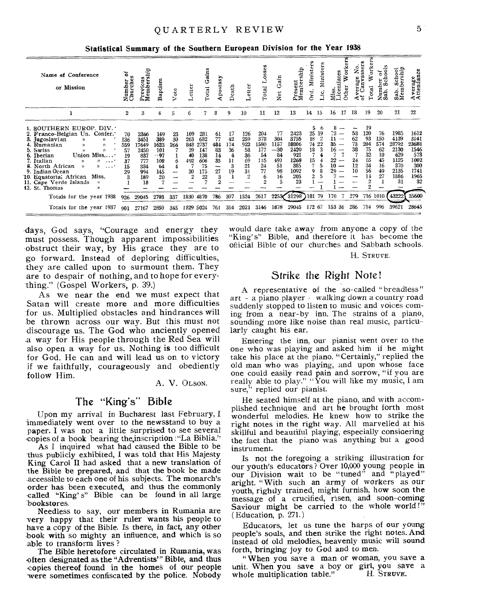Statistical Summary of the Southern European Division for the Year 1938

| Name of Conference<br>or Mission                                                                                                                                                                                                                                                                                                                                                                     | ä<br>융<br>Numbe<br>Churcl                      | fi<br><b>SO</b><br>w<br>Previous<br>Members                            | Baptism                                                           | ö                              | ette:                                                        | Gain<br>Total                                              | Apostasy                                      | Death                                       | etter                                                             | w<br>ğ,<br>Total                                             | Gain<br>Net                                                    | resent<br>Iember:                                                        | ste:<br>Mini<br>Min<br>τ                                                        | centiates<br>S<br>Ž                           | Other                    | No.<br>sser:<br>age<br>mva<br>$\ddot{a}$<br>៵ | öïk<br>otal                                                                  | $\circ$<br>Ō<br>చే<br>Ъ<br>ω<br>z<br>Ω               | ⊸ ჲ<br>8 में<br>bers<br>륑<br>w<br>ಡೆ<br>ശ്≥                               | Average<br>Attendance                                                     |
|------------------------------------------------------------------------------------------------------------------------------------------------------------------------------------------------------------------------------------------------------------------------------------------------------------------------------------------------------------------------------------------------------|------------------------------------------------|------------------------------------------------------------------------|-------------------------------------------------------------------|--------------------------------|--------------------------------------------------------------|------------------------------------------------------------|-----------------------------------------------|---------------------------------------------|-------------------------------------------------------------------|--------------------------------------------------------------|----------------------------------------------------------------|--------------------------------------------------------------------------|---------------------------------------------------------------------------------|-----------------------------------------------|--------------------------|-----------------------------------------------|------------------------------------------------------------------------------|------------------------------------------------------|---------------------------------------------------------------------------|---------------------------------------------------------------------------|
|                                                                                                                                                                                                                                                                                                                                                                                                      | 2                                              | 3                                                                      |                                                                   | 5                              | ħ                                                            | 7                                                          | 8                                             | 9                                           | 10                                                                | 11                                                           | 12                                                             | 13                                                                       | 14<br>15                                                                        | 16                                            | 17                       | 18                                            | 19                                                                           | 20                                                   | 21                                                                        | $22\,$                                                                    |
| 1. SOUTHERN EUROP. DIV. .<br>2. Franco-Belgian Un. Confer.<br>3. Jugoslavian<br>$\mathcal{D}$<br>$\mathcal{V}$<br>4. Rumanian<br>$\mathcal{V}$<br>y)<br>5. Swiss<br>$\mathbf{v}$<br>Y).<br>Union Miss<br>6. Iberian<br>7. Italian<br>"<br>8. North African<br>$\mathcal{V}$<br>9. Indian Ocean<br>Miss.<br>10. Equatorial African<br>11. Cape Verde Islands<br>$\mathcal{V}$<br>12. St. Thomas<br>ν, | 70<br>136<br>559<br>57<br>19<br>37<br>15<br>29 | 2346<br>3451<br>17649<br>2450<br>837<br>777<br>334<br>994<br>189<br>18 | 149<br>389<br>1623<br>101<br>$\cdot$ 97<br>108<br>64<br>145<br>20 | 23<br>30<br>266<br>6<br>4<br>- | 109<br>263<br>848<br>39<br>40<br>492<br>30<br>$\overline{2}$ | 281<br>682<br>2737<br>147<br>138<br>606<br>75<br>175<br>22 | 61<br>77<br>484<br>83<br>14<br>35<br>--<br>27 | 17<br>42<br>174<br>36<br>4<br>11<br>3<br>19 | 126<br>259<br>922<br>58<br>36<br>69<br>21<br>31<br>$\overline{2}$ | 204<br>378<br>1580<br>177<br>54<br>115<br>24<br>77<br>6<br>2 | 77<br>304<br>1157<br>$-30$<br>84<br>491<br>51<br>98<br>16<br>5 | 2423<br>3755<br>18806<br>2420<br>921<br>1268<br>385<br>1092<br>205<br>23 | 5.<br>25<br>19<br>18<br>2<br>74<br>22<br>18<br>15<br>7<br>9<br>$\boldsymbol{2}$ | $\hat{c}$<br>11<br>35<br>16<br>22<br>10<br>29 | $\overline{\phantom{a}}$ | 53<br>62<br>73<br>38<br>24<br>12<br>10        | 19<br>120<br>93<br>204<br>75<br>32<br>65<br>34<br>56<br>14<br>$\overline{2}$ | 76<br>150<br>574<br>62<br>10<br>45<br>16<br>49<br>27 | 1985<br>4139<br>28792<br>2130<br>629<br>1125<br>370<br>2135<br>1886<br>31 | 1612<br>3141<br>23688<br>1546<br>573<br>1002<br>300<br>1741<br>1965<br>32 |
| Totals for the year 1938                                                                                                                                                                                                                                                                                                                                                                             | 926                                            | 29045                                                                  | 2703                                                              | 337                            | 1830                                                         | 4870                                                       | 786                                           | 307                                         | 1524                                                              | 2617                                                         | 22536                                                          | 31298                                                                    | 181<br>79                                                                       | 170                                           |                          | 279                                           | 716 1010                                                                     |                                                      | 43222                                                                     | 35600                                                                     |
| Totals for the year 1937                                                                                                                                                                                                                                                                                                                                                                             | 901                                            | 27167                                                                  | 2850                                                              | 345                            | 1829.                                                        | 5024                                                       | 761                                           | 364                                         | 2021                                                              | 3146                                                         | 1878                                                           | 29045                                                                    | 172<br>-67                                                                      | 153                                           | -36                      | 286                                           | 714                                                                          | 996                                                  | 39621                                                                     | 28645                                                                     |

days, God says, "Courage and energy they must possess. Though apparent impossibilities obstruct their way, by His grace they are to go forward. Instead of deploring difficulties, they are called upon to surmount them. They are to despair of nothing, and to hope for everything." (Gospel Workers, p. 39.)

As we near the end we must expect that Satan will create more and more difficulties for us. Multiplied obstacles and hindrances will be thrown across our way. But this must not discourage us. The God who anciently opened a way for His people through the Red Sea will also open a way for us. Nothing is too difficult for God. He can and will lead us on to victory if we faithfully, courageously and obediently follow Him.

A. V. OLSON.

#### The "King's" Bible

Upon my arrival in Bucharest last February, I immediately went over to the newsstand to buy a paper. I was not a little surprised to see several copies of a book bearing the inscription : "La Biblia."

As I inquired what had caused the Bible to be thus publicly exhibited, I was told that His Majesty King Carol II had asked that a new translation of the Bible be prepared, and that the book be made accessible to each one of his subjects. The monarch's order has been executed, and thus the commonly called "King's" Bible can be found in all large bookstores.

Needless to say, our members in Rumania are very happy that their ruler wants his people to have a copy of the Bible. Is there, in fact, any other book with so mighty an influence, and which is so able to transform lives?

The Bible heretofore circulated in Rumania, was often designated as the "Adventists" Bible, and thus copies thereof found in the homes of our people were sometimes confiscated by the police. Nobody

would dare take away from anyone a copy of the "King's" Bible, and therefore it has become the official Bible of our churches and Sabbath schools.

H. STRUVE.

#### Strike the Right Note!

A representative of the so-called "breadless"  $art - a piano player - walking down a country road$ suddenly stopped to listen to music and voices coming from a near-by inn. The strains of a piano, sounding more like noise than real music, particularly caught his ear.

Entering the inn, our pianist went over to the<br>one who was playing and asked him if he might take his place at the piano. "Certainly," replied the old man who was playing, and upon whose face one could easily read pain and sorrow, "if you are<br>really able to play." "You will like my music, I am sure," replied our pianist.

He seated himself at the piano, and with accomplished technique and art he brought forth most wonderful melodies. He knew how to strike the right notes in the right way. All marvelled at his skillful and beautiful playing, especially considering the fact that the piano was anything but a good instrument.

Is not the foregoing a striking illustration for our youth's educators? Over 10,000 young people in<br>our Division wait to be "tuned" and "played" aright. "With such an army of workers as our youth, rightly trained, might furnish, how soon the message of a crucified, risen, and soon-coming Saviour might be carried to the whole world!' (Education, p.  $271$ .)

Educators, let us tune the harps of our young people's souls, and then strike the right notes. And instead of old melodies, heavenly music will sound forth, bringing joy to God and to men.

"When you save a man or woman, you save a unit. When you save a boy or girl, you save a whole multiplication table." H. STRUVE.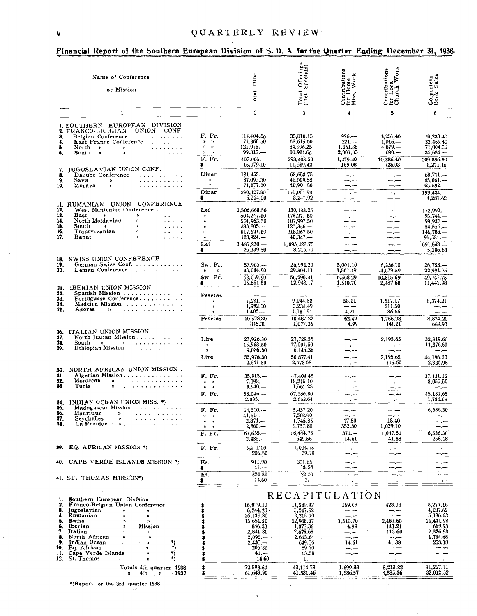|                                                            | Name of Conference<br>or Mission                                                                                                                                                                                                                                                                                                                                                                                                                                                                                                          |                                                                                                                                       | Tithe<br>Total                                                                                                                    | Offerings<br>Specials)<br>Total<br>(incl.                                                                               | Contributions<br>for Home<br>Miss. Work                                                      | $\begin{array}{c}\n\text{Contributions} \\ \text{for Local} \\ \text{Church Work}\n\end{array}$        | Colporteur<br>Book Sales                                                                                             |
|------------------------------------------------------------|-------------------------------------------------------------------------------------------------------------------------------------------------------------------------------------------------------------------------------------------------------------------------------------------------------------------------------------------------------------------------------------------------------------------------------------------------------------------------------------------------------------------------------------------|---------------------------------------------------------------------------------------------------------------------------------------|-----------------------------------------------------------------------------------------------------------------------------------|-------------------------------------------------------------------------------------------------------------------------|----------------------------------------------------------------------------------------------|--------------------------------------------------------------------------------------------------------|----------------------------------------------------------------------------------------------------------------------|
|                                                            | $\mathbf{1}$                                                                                                                                                                                                                                                                                                                                                                                                                                                                                                                              |                                                                                                                                       | $\overline{2}$                                                                                                                    | 3                                                                                                                       | $\overline{4}$                                                                               | 5                                                                                                      | 6                                                                                                                    |
|                                                            | 1. SOUTHERN EUROPEAN DIVISION                                                                                                                                                                                                                                                                                                                                                                                                                                                                                                             |                                                                                                                                       |                                                                                                                                   |                                                                                                                         |                                                                                              |                                                                                                        |                                                                                                                      |
| 3.<br>4.<br>١.<br>6.                                       | 2. FRANCO-BELGIAN UNION CONF<br>Belgian Conference<br>$\omega$ . The second contract $\omega$<br>East France Conference<br>$\alpha$ , and $\alpha$ , and $\alpha$ , and $\alpha$<br>North $\rightarrow$<br>$\mathcal{L}^{\mathcal{A}}\left( \mathcal{A}^{\mathcal{A}}\left( \mathcal{A}^{\mathcal{A}}\right) \right) =\mathcal{L}^{\mathcal{A}}\left( \mathcal{A}^{\mathcal{A}}\left( \mathcal{A}^{\mathcal{A}}\right) \right)$<br>$\bullet$<br>$South \rightarrow$<br>$\pmb{\ast}$<br>$\mathbf{z}$ , and $\mathbf{z}$ , and $\mathbf{z}$ | F. Fr.<br>¥.<br>$\rightarrow$<br>$\boldsymbol{\mathfrak{p}}$<br>D)<br>$\boldsymbol{\mathfrak{D}}$<br>$\boldsymbol{\lambda}$<br>F. Fr. | 114.404.50<br>71.368.50<br>$121.976-$<br>99.317<br>407,066                                                                        | 35,810.15<br>63,615.50<br>84,996.25<br>108,981.60<br>293,403.50                                                         | $996 -$<br>$221 - -$<br>1.061.35<br>2,001,05<br>4,279.40                                     | 4,251.40<br>$1,016-$<br>$4,879-$<br>$690 -$<br>10,836.40                                               | 70,238.40<br>32.469.40<br>71,004.50<br>$35,684-$<br>209,396.30                                                       |
| 7.                                                         | IUGOSLAVIAN UNION CONF.                                                                                                                                                                                                                                                                                                                                                                                                                                                                                                                   | \$                                                                                                                                    | 16,079.10                                                                                                                         | 11,589.42                                                                                                               | 169.03                                                                                       | 128.03                                                                                                 | 8,271.16                                                                                                             |
| 8.<br>9.<br>10,                                            | Danube Conference<br>$\mathbf{1} \cdot \mathbf{1} \cdot \mathbf{1} \cdot \mathbf{1} \cdot \mathbf{1} \cdot \mathbf{1} \cdot \mathbf{1} \cdot \mathbf{1} \cdot \mathbf{1} \cdot \mathbf{1} \cdot \mathbf{1} \cdot \mathbf{1}$<br>Sava<br>.<br>$\pmb{\ast}$<br>Morava<br>$\begin{array}{cccccccccccccc} . & . & . & . & . & . & . & . & . & . & . & . & . \end{array}$<br>$\lambda$                                                                                                                                                         | Dinar<br>$\boldsymbol{\mathcal{Y}}$<br>$\mathfrak{p}$                                                                                 | 131,455<br>87.095.50<br>71,877.30                                                                                                 | 68,653.75<br>41,509.38<br>40,901.80<br>151,064.93                                                                       | حبرسة<br>$\frac{1}{2}$<br>$-$ . $-$                                                          | $-,-$<br>--.--<br>--.--                                                                                | $68,771, -$<br>65,061.-<br>$65.592 -$                                                                                |
|                                                            |                                                                                                                                                                                                                                                                                                                                                                                                                                                                                                                                           | Dinar<br>\$                                                                                                                           | 290,427.80<br>6,244.20                                                                                                            | 3,247.92                                                                                                                | $-,-$<br>$-\qquad-\qquad$                                                                    | للسريسة<br>$-.-$                                                                                       | 199,424.<br>4,287.62                                                                                                 |
| 12.<br>18.<br>14.<br>15.<br>16.<br>17.                     | 11. RUMANIAN UNION CONFERENCE<br>West Muntenian Conference<br>East<br>் உ<br>$\bullet$<br>$\alpha$ , $\alpha$ , $\alpha$ , $\alpha$<br>North Moldavian<br>$\mathbf{v}$<br>$\alpha$ , $\alpha$ , $\alpha$ , $\alpha$ , $\alpha$<br>South<br>y).<br><b>Carl Adams</b><br>$\mathcal{D}$<br>Transylvanian<br>$\mathcal{D}$<br>$\sim$ $\sim$ $\sim$ $\sim$ $\sim$<br>$\mathcal{Y}$<br>Banat<br>$\alpha$ , $\alpha$ , $\alpha$ , $\alpha$                                                                                                       | Lei<br>$\mathcal{D}$<br>$\mathbf{D}$<br>y)<br>$\mathcal{Y}$<br>))<br>Lei                                                              | 1,506,668.50<br>504,247.50<br>501,963.50<br>333,805<br>517,621.50<br>$120,924-$<br>$3,485,230-$                                   | 430, 183.25<br>173,271.50<br>107,997.50<br>$125,356. -$<br>218,267.50<br>$40,347-$<br>1,095,422.75                      | --.-<br>—.—<br>—.<br>--.-<br>سب —<br>--.--<br>للسريب                                         | —.—<br>$-$ . $-$<br>-.-<br>—.—<br>--.--<br>$\frac{1}{2}$                                               | $172,992. -$<br>95,744.<br>$99,937 -$<br>$84,556-$<br>146,788<br>$91,531-$<br>691.548.-                              |
|                                                            |                                                                                                                                                                                                                                                                                                                                                                                                                                                                                                                                           | \$.                                                                                                                                   | 26,139.30                                                                                                                         | 8.215.70                                                                                                                | —,—                                                                                          | --                                                                                                     | 5,186.63                                                                                                             |
| 18.<br>19.<br>20                                           | SWISS UNION CONFERENCE<br>German Swiss Conf.<br>Leman Conference                                                                                                                                                                                                                                                                                                                                                                                                                                                                          | Sw. Fr.<br>$\mathbf{v}$<br>$\mathcal{V}$<br>Sw. Fr.                                                                                   | 37,965<br>30,084.90<br>68,049.90                                                                                                  | 26,992.20<br>29.304.11<br>56,296.31                                                                                     | 3,001.10<br>3,567.19<br>6,568 29                                                             | 6,236.10<br>-4,579.59<br>10,815.69                                                                     | $26,753-$<br>22,994.75<br>49,747.75                                                                                  |
| 21.                                                        | IBERIAN UNION MISSION.                                                                                                                                                                                                                                                                                                                                                                                                                                                                                                                    | \$                                                                                                                                    | 15,651.50                                                                                                                         | 12,948.17                                                                                                               | 1,510.70                                                                                     | 2,487.60                                                                                               | 11,441.98                                                                                                            |
| 22,<br>23.<br>24.<br>25.                                   | Spanish Mission<br>Portuguese Conference<br>Madeira Mission<br>. <i>. .</i><br>Azores<br>$\mathbf{v}$                                                                                                                                                                                                                                                                                                                                                                                                                                     | Pesetas<br>$\mathbf{v}$<br>'n,<br>$\mathcal{V}$<br>Pesetas                                                                            | --.--<br>$7,181-$<br>1,992.30<br>1.405<br>10,578.30                                                                               | $-$<br>9,044.82<br>3,234.49<br>1,187.91<br>13,467.22                                                                    | -- -<br>58.21<br>مسر د<br>4.21<br>62.42                                                      | 1.517.17<br>211.50<br>36.56<br>1.765.23                                                                | state, manager<br>8,374.21<br>سمار سد<br>8,374.21                                                                    |
| 26.                                                        | ITALIAN UNION MISSION                                                                                                                                                                                                                                                                                                                                                                                                                                                                                                                     |                                                                                                                                       | 846.30                                                                                                                            | 1,077.36                                                                                                                | 4.99                                                                                         | 141.21                                                                                                 | 669.93                                                                                                               |
| 27.<br>28.<br>29.                                          | North Italian Mission<br>South<br>$\mathcal{D}$<br>.<br>$\mathbf{v}$<br>Ethiopian Mission<br>. . <i>.</i>                                                                                                                                                                                                                                                                                                                                                                                                                                 | Lire<br>$\mathbf{v}$<br>»                                                                                                             | 27,926.30<br>16,963,50<br>9,086.50                                                                                                | 27,729.55<br>17,001.50<br>6,146.36                                                                                      | ----<br>--.--<br>⊸.--                                                                        | 2,195.65<br>حميات<br>—.,…                                                                              | 32,819.60<br>11,376.60<br>--.--                                                                                      |
|                                                            |                                                                                                                                                                                                                                                                                                                                                                                                                                                                                                                                           | Lire                                                                                                                                  | 53,976.30                                                                                                                         | 50,877.41                                                                                                               | --.--                                                                                        | 2,195.65<br>115.60                                                                                     | 44,196.20                                                                                                            |
| 30.<br>81.<br>32.<br>88.                                   | NORTH AFRICAN UNION MISSION.<br>Algerian Mission<br>Moroccan<br>.<br>$\mathbf{a}$<br>.<br>Tunis                                                                                                                                                                                                                                                                                                                                                                                                                                           | $F.$ $Fr.$<br>$\mathcal{Y}$<br>D)<br>$\boldsymbol{\eta}$<br>$\mathfrak{p}$<br>F. Fr.                                                  | 2,841.80<br>$35,913-$<br>$7.193 -$<br>$9,940$ .<br>$53.046-$                                                                      | 2,678 68<br>47,404.45<br>18,215.10<br>1,561.25<br>67,180.80                                                             | —.—<br>المترامين<br>--.--<br>—.−−<br>سرب                                                     | حسر حد<br>—.—<br>سيرتب                                                                                 | 2,326.93<br>37, 131.15<br>8,050.50<br>$-,-$<br>45.181.65                                                             |
| 84.                                                        | INDIAN OCEAN UNION MISS. *)                                                                                                                                                                                                                                                                                                                                                                                                                                                                                                               |                                                                                                                                       | $2.095 -$                                                                                                                         | 2.653.64                                                                                                                | --.--                                                                                        | ---.                                                                                                   | 1,784.68                                                                                                             |
| 86.<br>36.<br>37.<br>38.                                   | Madagascar Mission<br>Mauritius<br>.<br>$\boldsymbol{\lambda}$<br>Seychelles<br>La Reunion<br>$\mathbf{X}$                                                                                                                                                                                                                                                                                                                                                                                                                                | F. Fr.<br>$9 - 9$<br>$\rightarrow$<br>n<br>y,<br>$\, {\bf n}$                                                                         | 14,310<br>41,614.—<br>$2.871 -$<br>$2,860-$                                                                                       | 5,457.20<br>7,503.90<br>1,745.85<br>1,737.80                                                                            | $-,-$<br>17.50<br>352.50                                                                     | $-$ . $-$<br>18.40<br>1,029.10                                                                         | 6,536.30<br>—.—<br>مس س<br>—,—                                                                                       |
|                                                            |                                                                                                                                                                                                                                                                                                                                                                                                                                                                                                                                           | F. Fr.                                                                                                                                | 61,655.—<br>$2,435, -$                                                                                                            | 16,444.75<br>649.56                                                                                                     | $370 -$<br>14.61                                                                             | 1,047.50<br>41.38                                                                                      | 6,536.30<br>258.18                                                                                                   |
| 39.                                                        | EQ. AFRICAN MISSION *)                                                                                                                                                                                                                                                                                                                                                                                                                                                                                                                    | F. Fr.                                                                                                                                | 5,211.20<br>205.80                                                                                                                | 1,004.75<br>39.70                                                                                                       | سنترسد<br>--.--                                                                              | $-\cdot$ –<br>⊸.⊸                                                                                      | m.m                                                                                                                  |
| 40.                                                        | CAPE VERDE ISLANDS MISSION *)                                                                                                                                                                                                                                                                                                                                                                                                                                                                                                             | Es.<br>\$                                                                                                                             | 911.90<br>$41, -$                                                                                                                 | 301.65<br>13.58                                                                                                         | --.--<br>⊸.⊶                                                                                 | $ -$<br>—,—                                                                                            |                                                                                                                      |
|                                                            | .41. ST. THOMAS MISSION*)                                                                                                                                                                                                                                                                                                                                                                                                                                                                                                                 | Es.<br>\$                                                                                                                             | 324.30<br>14.60                                                                                                                   | 22.20<br>$1. - -$                                                                                                       | $--,-$<br>---                                                                                | $\rightarrow \rightarrow \rightarrow \rightarrow \rightarrow$<br>$-$ , $-$                             | $-1 - 1 - 1 = 1$<br>m, m                                                                                             |
|                                                            | 1. Southern European Division                                                                                                                                                                                                                                                                                                                                                                                                                                                                                                             |                                                                                                                                       |                                                                                                                                   | RECAPITULATION                                                                                                          |                                                                                              |                                                                                                        |                                                                                                                      |
| 2.<br>8.<br>4.<br>5.<br>6.<br>7.<br>8.<br>9.<br>11.<br>12. | Franco-Belgian Union Conference<br>Jugoslavian<br>$\mathcal{V}$<br>$\mathcal{V}$<br>Rumanian<br>$\mathcal{D}$<br>'n<br>Swiss<br>$\mathbf{v}$<br>$\mathbf{v}$<br>Iberian<br>Mission<br>Y)<br>Italian<br>"<br>n<br>North African<br>$\boldsymbol{y}$<br>))<br>Indian Ocean<br>وپ<br>$\lambda$<br>э<br>*)<br>10. Eq. African<br>×<br>*)<br>*)<br>Cape Verde Islands<br>$\mathbf{v}$<br>St. Thomas<br>'n                                                                                                                                      |                                                                                                                                       | 16,079.10<br>6,244.20<br>26,139.30<br>15,651.50<br>846.30<br>2,841.80<br>$2,095. -$<br>$2,435, -$<br>205.80<br>$41. - -$<br>14.60 | 11,589.42<br>3,247.92<br>8,215.70<br>12,948.17<br>1,077.36<br>2,678.68<br>2.653.64<br>649.56<br>39.70<br>13.58<br>$1 -$ | 169.03<br>⊸.∼<br>--<br>1,510.70<br>4.99<br>--.--<br>—, <sub>—</sub><br>14.61<br>-----<br>—,— | 428.03<br>⊸,⊷<br>— <del>.</del><br>2,487.60<br>141.21<br>115.60<br>$--$<br>41.38<br>—.—<br>---<br>--.- | 8,271.16<br>4,287.62<br>5,186.63<br>11,441.98<br>669.93<br>2,326.93<br>1,784.68<br>258.18<br>- <del>.</del><br>--.-- |
|                                                            | Totals 4th quarter 1938                                                                                                                                                                                                                                                                                                                                                                                                                                                                                                                   | \$                                                                                                                                    | 72.593.60                                                                                                                         | 43,114.73                                                                                                               | $--,--$<br>1,699.33                                                                          | 3,213.82                                                                                               | 34,227.11                                                                                                            |
|                                                            | - 1937<br>4th<br>$\overline{a}$                                                                                                                                                                                                                                                                                                                                                                                                                                                                                                           | \$                                                                                                                                    | 61,649.90                                                                                                                         | 41.381.46                                                                                                               | 1,586.57                                                                                     | 3,335.36                                                                                               | 32,012.52                                                                                                            |

 $\epsilon$ 

k.

 $\sim$ 

#### $R = 1.5$  $D1...2n!$  $\mathbf{r}$   $\mathbf{r}$  $\ddot{\phantom{a}}$ ă.  $\cdots$  $\mathbf{A}$  $\sim$  $\overline{1}$

\*)Report for the 3rd quarter 1938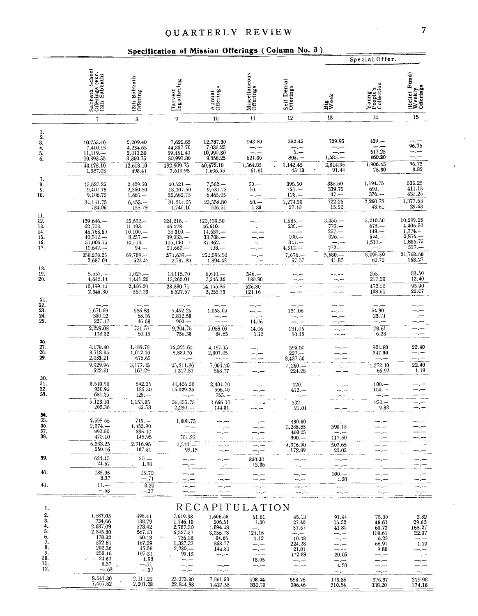### Specification of Mission Offerings (Column No. 3).

|                                                                         |                                                                                                                                         |                                                                                                        |                                                                                                             |                                                                                                                     |                                                                                                                                     |                                                                                       |                                                                                     | Special Offer.                                                                                                   |                                                                                             |
|-------------------------------------------------------------------------|-----------------------------------------------------------------------------------------------------------------------------------------|--------------------------------------------------------------------------------------------------------|-------------------------------------------------------------------------------------------------------------|---------------------------------------------------------------------------------------------------------------------|-------------------------------------------------------------------------------------------------------------------------------------|---------------------------------------------------------------------------------------|-------------------------------------------------------------------------------------|------------------------------------------------------------------------------------------------------------------|---------------------------------------------------------------------------------------------|
|                                                                         | Sabbath School<br>Offerings (exc.<br>13th Sabbath)                                                                                      | 13th Sabbath<br>Offering                                                                               | Harvest<br>Ingathering                                                                                      | Annual<br>Offerings                                                                                                 | Miscellaneous<br>Offerings                                                                                                          | Self Denial<br>Offerings                                                              | Big<br>Week                                                                         | Young<br>People's<br>Collection                                                                                  | (Relief Fund)<br>Weekly<br>Offerings                                                        |
|                                                                         | $\overline{7}$                                                                                                                          | 8                                                                                                      | 9                                                                                                           | 10                                                                                                                  | 11                                                                                                                                  | 12                                                                                    | 13                                                                                  | 14                                                                                                               | 15                                                                                          |
| ı.<br>$\frac{2}{3}$ .<br>4.<br>$\frac{5}{6}$                            | 10,755.40<br>7,410.15<br>$11,119-$<br>10,893.55<br>40,178.10<br>1,587.03                                                                | 2,209.40<br>4,234.65<br>2,813.30<br>3,360.75<br>12,618.10<br>498.41                                    | $7,622.85$<br>$44,837.70$<br>59,451.40<br>\$0,997.80<br>192,909.75<br>7,619.93                              | 12,787.30<br>7,036.25<br>10,990.30<br>9,858.25<br>40,672.10<br>1.606.55                                             | 943 80<br>--.<br>$-,-$<br>621.05<br>1,564.85<br>61.81                                                                               | 332.45<br>5.<br>$805. -$<br>1,142.45<br>45.13                                         | 729.95<br>--.--<br>$1,585-$<br>2,314.95<br>91.44                                    | $429 -$<br>617.25<br>860.20<br>1,906.45<br>75.30                                                                 | 96.75<br>96.75<br>3.82                                                                      |
| 7.<br>8.<br>9.<br>10.                                                   | 15,627.25<br>9,407.75<br>9,106.75<br>34,141.75<br>734.06                                                                                | 2,429.50<br>2,360.50<br>1,665.--<br>$6,455. -$<br>138.79                                               | $40,524. -$<br>18,007.50<br>22,682.75<br>81,214.25<br>1,746.10                                              | $7,562-$<br>9,531.75<br>6,465.05<br>23,558.80<br>506.51                                                             | $50 -$<br>$10 -$<br>— .—<br>$60 -$<br>1.30                                                                                          | 395.50<br>$751 -$<br>$128 -$<br>1,274.50<br>27.10                                     | 335.50<br>339.75<br>$47. -$<br>722.25<br>15.52                                      | 1,194.75<br>$690 -$<br>376. —<br>2,260.75<br>48.61                                                               | $\begin{array}{c} 535.25 \\ 411.13 \end{array}$<br>431.25<br>1,377.63<br>29.63              |
| 11.<br>$\frac{12}{13}$<br>14.<br>$\frac{15}{16}$<br>17.                 | $139,646-$<br>$62,703-$<br>45,768.50<br>$40,512,-$<br>57,006.75<br>$12,642-$<br>358,278.25<br>2,687.09                                  | $25,632--$<br>11,193.<br>$\frac{10,100,-}{8,257,-}$<br>14,513.<br>$94 -$<br>69.789<br>523 42           | $124,216. -$<br>$46,278-$<br>$35,310. -$<br>$39,033. -$<br>$105, 140 -$<br>$21,662-$<br>371,639<br>2,787.30 | 120,139.50<br>$46,610-$<br>$14,639. -$<br>$33,708-$<br>$37,362-$<br>$138 -$<br>252,596.50<br>1,894.48               |                                                                                                                                     | $1,585-$<br>$638. -$<br>نسار بند<br>$100 -$<br>$841 -$<br>$4,512-$<br>$7,676, -57,57$ | $3,455. - 770. - 257. -$<br>$326 -$<br>772.—<br>$5,580-$<br>41.85                   | $\begin{array}{r} 5,210.50 \\ 673. - \\ 149. - \end{array}$<br>$544 -$<br>$1,519--$<br>مرمد<br>8,095.50<br>60.72 | 10,299.25<br>4,406.50<br>$1,774-$<br>$2,876-$<br>1,885.75<br>$527 -$<br>21,768.50<br>163.27 |
| 18.<br>19.<br>20.                                                       | $5,557-$<br>4,642.14<br>10,199.14<br>2,345.80                                                                                           | $1,025-$<br>1,441.20<br>2,466.20<br>567.23                                                             | 13,115.70<br>15,265.01<br>28,380.71<br>6,527.57                                                             | $6,610-$<br>7,545.36<br>14, 155.36<br>3,255.73                                                                      | $346-$<br>180.80<br>526.80<br>121.16                                                                                                | $--,-$<br>--,--<br>22. se                                                             | --.--<br>--.--<br><sub>.</sub>                                                      | $255. -$<br>217.20<br>472.20<br>108.61                                                                           | 83.50<br>12.40<br>95.90<br>22.C7                                                            |
| 21.<br>22.<br>23.<br>$\frac{24}{25}$                                    | 1,671.69<br>330.22<br>227.17<br>2,229.08                                                                                                | 636.83<br>68.06<br>46.68<br>751.57                                                                     | $5,492.25$<br>$2,812.50$<br>$900 -$<br>9,204.75                                                             | 1,058.09<br>m., m<br>1,058.09                                                                                       | ÷.-<br>$-,-$<br>14.06<br>14.06                                                                                                      | 131.06<br>— . —<br>131.06                                                             | --.- <i>-</i>                                                                       | 54.90<br>23.71<br>للمسارات<br>78.61                                                                              |                                                                                             |
| $\frac{26}{27}$ .<br>28.<br>29.                                         | 178.32<br>4,178.40<br>3,718.35<br>2,033.21<br>9,929.96                                                                                  | 60.13<br>1,489.70<br>1,012.10<br>675.65<br>3,177.45                                                    | 736.38<br>16,321.60<br>8,889.70<br>25,211.30                                                                | 84.65<br>4.197.15<br>2,807.05<br>7,004.20                                                                           | 1.12                                                                                                                                | 10.48<br>595.50<br>$227 --$<br>3,437.50<br>$4,260-$                                   |                                                                                     | 6.28<br>924.80<br>347.30<br>1,272.10                                                                             | 22.40<br>22.40                                                                              |
| 30.<br>31.<br>32.<br>33.                                                | 522.81<br>3,510.90<br>930.95<br>681.25<br>5,123.10                                                                                      | 842.35<br>186.50<br>$125. -$<br>1,153.85                                                               | 1.327.37<br>40,426.50<br>16,029.25<br>56,455.75                                                             | 368.77<br>2,404.70<br>506.40<br>$755. -$<br>3.666.10                                                                |                                                                                                                                     | 224.28<br>$120 -$<br>$412 -$<br>$532 --$                                              |                                                                                     | 66.97<br>$100 -$<br>$150 -$<br>$250 -$                                                                           | 1.19                                                                                        |
| 34.<br>35.<br>36.<br>37.<br>38.                                         | 202.36<br>2,598 65<br>2,374.<br>890.50<br>470.10<br>6,333.25                                                                            | 45.58<br>$719 -$<br>1,453.90<br>395.10<br>148.95<br>2,716.95                                           | $2,230 -$<br>1,808.75<br>$-,-$<br>701.25<br>$2,510 -$                                                       | 14481                                                                                                               |                                                                                                                                     | 21.01<br>330.80<br>3,285.85<br>460.25<br>$300 -$<br>4,376.90                          | 390.15<br>$-,-$<br>117.50<br>507.65                                                 | 9.88                                                                                                             |                                                                                             |
| 39.                                                                     | 250.16<br>624.45<br>24.67                                                                                                               | 107.31<br>$50 -$<br>1.98                                                                               | 99.15                                                                                                       | --.-                                                                                                                | 330.30                                                                                                                              | 172.89                                                                                | 20.05<br>سے بب                                                                      |                                                                                                                  |                                                                                             |
| 40.                                                                     | 185.95<br>8.37                                                                                                                          | 15,70<br>$-.71$                                                                                        | ⊸.⊶                                                                                                         |                                                                                                                     | 13.05<br>-- -                                                                                                                       | --.--                                                                                 | $100 -$<br>4.50                                                                     | --.---<br>$ -$                                                                                                   |                                                                                             |
| 41.                                                                     | $14. -$<br>$-.63$                                                                                                                       | 8.20<br>$-.37$                                                                                         |                                                                                                             |                                                                                                                     |                                                                                                                                     |                                                                                       | 44,44<br>$-1 - 1 - 1$                                                               | --,--<br>--.--                                                                                                   | ---                                                                                         |
| 1.<br>2.<br>3.<br>4.<br>5.<br>6.<br>7.<br>8.<br>9.<br>10.<br>11.<br>12. | 1,587.03<br>734.06<br>2,687.09<br>2,345.80<br>178.32<br>522.81<br>202.36<br>250.16<br>$\therefore$ 24.67<br>8.37<br>$\lambda$<br>$-.63$ | 498.41<br>138.79<br>523,42<br>567.23<br>60.13<br>167.29<br>45.58<br>107.31<br>1.98<br>$-.71$<br>$-.37$ | 7,619.93<br>1,746.10<br>2,787.30<br>6,527.57<br>736.38<br>1,327.37<br>$2,230,-$<br>99.15<br>~~, ~<br>--.--  | RECAPIT<br>1,606.55<br>506.51<br>1,894.48<br>3,255.73<br>84.65<br>368.77<br>144.81<br>-----<br>--.-<br>—.—<br>سنرمث | ULATION<br>61.81<br>1.30<br>--.-<br>121.16<br>1.12<br>سندرست<br>$-1 - 1 - 1 = 0$<br>13.05<br>سنرسد<br>$\rightarrow$ - $\rightarrow$ | 45.13<br>27.40<br>57.57<br>$ -$<br>10.48<br>224.28<br>21,01<br>172.89<br>—.⊶<br>--    | 91.44<br>15.52<br>41.85<br>--. --<br>-.-<br>-- -<br>للمراسد<br>20.05<br>—.—<br>4.50 | 75.30<br>48.61<br>60.72<br>108.61<br>6.28<br>66.97<br>9.88<br>—.—<br>-.-<br>—.—                                  | 3.82<br>29.63<br>163.27<br>22.07<br>1.19                                                    |
|                                                                         | $-8.541.30$<br>.7,457.82                                                                                                                | $2,111.22$<br>$2,201.28$                                                                               | 23.073.80<br>22,844.93                                                                                      | 7,861.50<br>7,427.35                                                                                                | 198.44<br>330.70                                                                                                                    | mm <sub>*</sub> mm<br>558.76<br>396.46                                                | $-$ . $-$<br>173.36<br>210.54                                                       | --.--<br>376.37<br>338.20                                                                                        | --,--<br>219.98<br>174.18                                                                   |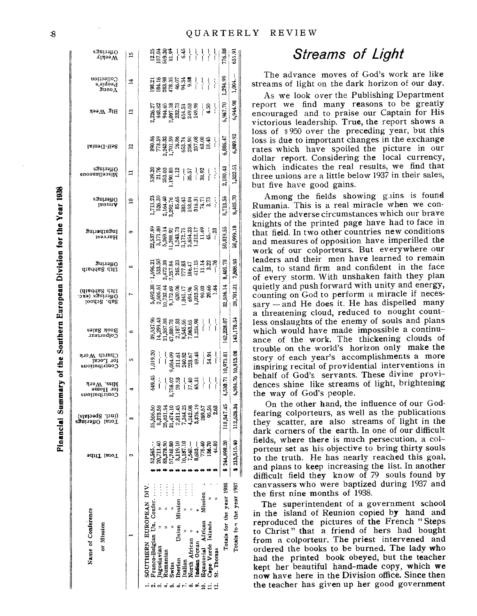Financial Summary of the Southern European Division for the Year 1938

| Name of Conference<br>or Mission                                                                                                                                                                                                                                                                                                                                                                  | ədilT laioT                                                                                                                                                | (incl. Specials)<br>Fotal Offerings                   | Miss. Work<br>ior Home<br>Contributions        | Church Work<br>tor Local<br>Contributions                                                                                                                | Book Sales<br>Colporteur                                                                                                                                                                      | 13th Sabbath)<br>Offerings (exc.<br>Sab. School                                                                                                | зиітэнО<br>gradas dist                                                                                                                                                                                                                                        | SuµəqıeSuJ<br>Harvest  | saunanO<br>JenuuV                                                                                                                                                      | egninenO<br>Miscellaneous                                             | Self-Denial          | <b>Big Week</b>      | Collection<br>People,s<br>Suno ⊼ | $\mathop{\rm sgn}\nolimits$ ngs<br>∕γeekly                                       |
|---------------------------------------------------------------------------------------------------------------------------------------------------------------------------------------------------------------------------------------------------------------------------------------------------------------------------------------------------------------------------------------------------|------------------------------------------------------------------------------------------------------------------------------------------------------------|-------------------------------------------------------|------------------------------------------------|----------------------------------------------------------------------------------------------------------------------------------------------------------|-----------------------------------------------------------------------------------------------------------------------------------------------------------------------------------------------|------------------------------------------------------------------------------------------------------------------------------------------------|---------------------------------------------------------------------------------------------------------------------------------------------------------------------------------------------------------------------------------------------------------------|------------------------|------------------------------------------------------------------------------------------------------------------------------------------------------------------------|-----------------------------------------------------------------------|----------------------|----------------------|----------------------------------|----------------------------------------------------------------------------------|
|                                                                                                                                                                                                                                                                                                                                                                                                   | N                                                                                                                                                          | S                                                     | ᢦ                                              | n                                                                                                                                                        | $\bullet$                                                                                                                                                                                     |                                                                                                                                                | ∞                                                                                                                                                                                                                                                             | ۰                      | ≘                                                                                                                                                                      | ⊐                                                                     | ฺฺุุุุ               | $\mathbf{r}$         | 4                                | n                                                                                |
| Totals for the year 1937<br>Totals for the year 1938<br>$\vdots$<br>$\vdots$<br>Mission<br>SOUTHERN EUROPEAN DIV<br>Franco-Belgian Un. Confer<br>Mission<br>Equatorial African<br>Cape Verde Islands<br>Union<br>North African<br>Indian Ocean<br>ugoslavian<br>St. Thomas<br>Rumaniar<br>Iberian<br>Italian<br>Swiss<br>$\dot{\circ}$ $\sim$<br>$\dot{\mathbf{z}}$<br>ထံ<br>လံကံ<br>$\div$<br>ທ່ | \$213,515.40<br>\$244,898.20<br>20,711.40<br>83,378.90<br>57,748.80<br>10,187.10<br>44.80<br>52,565<br>3,119.10<br>7,548.<br>775.40<br>$8,683 -$<br>136.70 | 547.45<br>,628.34<br>జ<br>∞<br>ಸಿ ನ<br>$\Xi$<br>$\Xi$ | 4,984.76 10,913.08<br>4,530.71<br>649.45<br>-- | 10,973.81<br>$1,009.8$<br>$1,009.3$<br>$1,009.3$<br>$1,009.3$<br>$1,009.3$<br>$1,009.3$<br>$1,009.3$<br>$1,009.3$<br>$1,009.3$<br>$1,009.3$<br>$1,009.3$ | 143,178.54<br>142,228.07<br>$39,537,38$<br>$39,537,38$<br>$14,387,38$<br>$21,387,38$<br>$21,387,38$<br>$21,345,36$<br>$21,324,34$<br>$21,324,34$<br>$21,324,34$<br>$21,324,34$<br>$21,324,34$ | 32,506.14<br>28,701.21<br>5,69238<br>2,606.5172.69<br>2,732.44<br>0,732.45<br>2,030.69<br>5,693.69<br>5,693.69<br>5,693.69<br>5,693.69<br>1,64 | 7,808.93<br>8,401.73<br>$1,696.21$<br>$33.58$<br>$33.52$<br>$34.72$ , $33.53$<br>$35.73$<br>$35.73$<br>$35.72$<br>$35.72$<br>$35.72$<br>$35.72$<br>$35.72$<br>$35.72$<br>$35.72$<br>$35.72$<br>$35.72$<br>$35.72$<br>$35.72$<br>$35.72$<br>$35.72$<br>$35.72$ | 50,999.18<br>50,819.55 | 8,405.70<br>8,713.56<br>$\begin{array}{l} 1,713.23 \\ 526.30 \\ 2,164.43 \\ 2,164.36 \\ 3,292.76 \\ 85.63 \\ 383.43 \\ 153.0 \\ 153.0 \\ 316.31 \\ \vdots \end{array}$ | 2,180.43<br>1,322.51<br>ងនេះ<br>មានមិនមាន នេះ<br>ទី មិនមិន ដែល នេះ ដែ | 6,809.92<br>6,886.47 | 6,944.98<br>6,967.70 | 1,294.99<br>1,004.               | 12<br>1232 - 134<br>1332 - 145 - 145 - 146 - 147 - 147 - 148<br>776.88<br>631.91 |

# **Streams of Light**

The advance moves of God's work are like streams of light on the dark horizon of our day.

As we look over the Publishing Department report we find many reasons to be greatly encouraged and to praise our Captain for His victorious leadership. True, the report shows a loss of \$950 over the preceding year, but this loss is due to important changes in the exchange rates which have spoiled the picture in our dollar report. Considering the local currency, which indicates the real results, we find that three unions are a little below 1937 in their sales, but five have good gains.

Among the fields showing gains is found Rumania. This is a real miracle when we consider the adverse circumstances which our brave knights of the printed page have had to face in that field. In two other countries new conditions and measures of opposition have imperilled the work of our colporteurs. But everywhere our leaders and their men have learned to remain calm, to stand firm and confident in the face of every storm. With unshaken faith they plan quietly and push forward with unity and energy, counting on God to perform a miracle if necessary - and He does it. He has dispelled many a threatening cloud, reduced to nought countless onslaughts of the enemy of souls and plans which would have made impossible a continuance of the work. The thickening clouds of trouble on the world's horizon only make the story of each year's accomplishments a more inspiring recital of providential interventions in behalf of God's servants. These divine providences shine like streams of light, brightening the way of God's people.

On the other hand, the influence of our Godfearing colporteurs, as well as the publications they scatter, are also streams of light in the dark corners of the earth. In one of our difficult fields, where there is much persecution, a colporteur set as his objective to bring thirty souls to the truth. He has nearly reached this goal, and plans to keep increasing the list. In another difficult field they know of 79 souls found by canvassers who were baptized during 1937 and the first nine months of 1938.

The superintendent of a government school in the island of Reunion copied by hand and reproduced the pictures of the French "Steps to Christ" that a friend of hers had bought from a colporteur. The priest intervened and ordered the books to be burned. The lady who had the printed book obeyed, but the teacher kept her beautiful hand-made copy, which we now have here in the Division office. Since then the teacher has given up her good government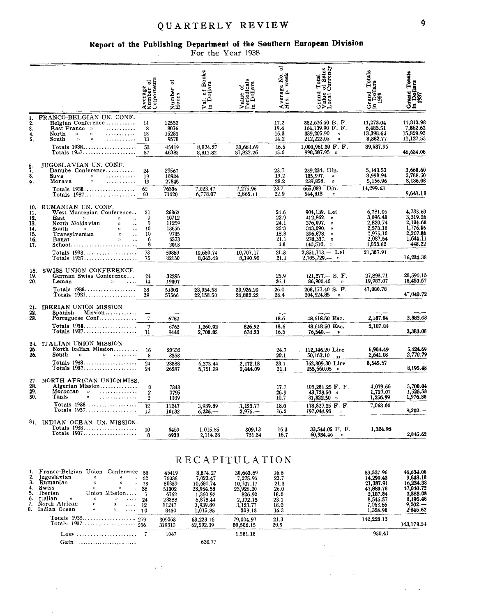## QUARTERLY REVIEW

# Report of the Publishing Department of the Southern European Division<br>For the Year 1938

|                                                      |                                                                                                                                                                                                                                                                                                                                                                                                                                                                                                                                                                                            | Average<br>Number of<br>Colporteurs     | ۵ť<br>Number<br>Hours                                              | of Books<br><sup>7</sup> al of Bo<br>1 Dollars<br>≘ خ                                          | Value of<br>Periodicals<br>in Dollars                                                       | 5<br>Average No.<br>Hrs. p. week                             | 1 Total<br>of Sales<br>Currency<br>Grand<br>Value<br>Local (                                                   | Totals<br>Grand Tot<br>in Dollars<br>1988                                                        | Grand Totals<br>In Dollars<br>1987                                                                |
|------------------------------------------------------|--------------------------------------------------------------------------------------------------------------------------------------------------------------------------------------------------------------------------------------------------------------------------------------------------------------------------------------------------------------------------------------------------------------------------------------------------------------------------------------------------------------------------------------------------------------------------------------------|-----------------------------------------|--------------------------------------------------------------------|------------------------------------------------------------------------------------------------|---------------------------------------------------------------------------------------------|--------------------------------------------------------------|----------------------------------------------------------------------------------------------------------------|--------------------------------------------------------------------------------------------------|---------------------------------------------------------------------------------------------------|
| ı.<br>$\frac{2}{3}$<br>4.<br>5.                      | FRANCO-BELGIAN UN. CONF.<br>Belgian Conference<br><b>East France</b> »<br>.<br>.<br>North<br>$\mathcal{D}$<br>$\mathcal{Y}$<br>$\begin{array}{cccccccccc} . & . & . & . & . & . & . & . & . \end{array}$<br>South<br>$\boldsymbol{\mathfrak{p}}$<br>$\boldsymbol{\mathcal{V}}$                                                                                                                                                                                                                                                                                                             | 14<br>8<br>18<br>13                     | 12532<br>8076<br>15233<br>9578                                     |                                                                                                |                                                                                             | 17.2<br>19.4<br>16.3<br>14.2                                 | 332,626.50 B. F.<br>164,139.90 F.F.<br>339,205.90<br>$\mathcal{Y}$<br>212,222.05<br>$\boldsymbol{\mathcal{Y}}$ | 11,273.04<br>6,483.51<br>13,398.64<br>8,382.77                                                   | 11,813.98<br>7,862.62<br>15,829.93<br>11,127.55                                                   |
|                                                      | Totals $1938$<br>Totals $1937$                                                                                                                                                                                                                                                                                                                                                                                                                                                                                                                                                             | 53<br>57                                | 45419<br>46385                                                     | 8,874.27<br>8,811.82                                                                           | 30,663.69<br>37,822.26                                                                      | 16.5<br>15.6                                                 | 1,000,961.30 F.F.<br>99 <b>8,587.</b> 95 »                                                                     | 39,537.95                                                                                        | 46,634,08                                                                                         |
| $\frac{6}{7}$<br>8.<br>9.                            | <b>JUGOSLAVIAN UN. CONF.</b><br>Danube Conference<br>Sava<br>$\mathcal{V}$<br>.<br>$\mathbf{y}_l$<br>.<br>Morava                                                                                                                                                                                                                                                                                                                                                                                                                                                                           | 24<br>19<br>19                          | 29567<br>18924<br>27845                                            |                                                                                                |                                                                                             | 23.7<br>19.2<br>28.2                                         | 239,234. Din.<br>185,997.<br>$\mathcal{V}$<br>239,858.<br>$\mathfrak{H}$                                       | 5,143.53<br>3,998.94<br>5,156.96                                                                 | 3,668.60<br>2,788.50<br>3,186.08                                                                  |
|                                                      | Totals $1938$<br>Totals 1937                                                                                                                                                                                                                                                                                                                                                                                                                                                                                                                                                               | 62<br>60                                | 76336<br>71420                                                     | 7,023.47<br>6,778.07                                                                           | 7,275.96<br>2,865.1                                                                         | 23.7<br>22.9                                                 | 665,089<br>Din.<br>544,813<br>$\mathcal{D}$                                                                    | 14,299.43                                                                                        | 9,643.18                                                                                          |
| 10.<br>11.<br>12.<br>13.<br>14.<br>15.<br>16.<br>17. | RUMANIAN UN. CONF.<br>West Muntenian Conference<br>East<br>${\mathcal V}$<br>$\rangle\rangle$<br>North Moldavian<br>x)<br>South<br>$\mathbf{D}$<br>$\mathcal{Y}$<br>$\ddot{\phantom{a}}$<br>Transylvanian<br>$\rightarrow$<br>$\sim$ $\sim$<br>Banat<br>$\mathbf{y}$<br>$\ddot{\phantom{a}}$<br>School                                                                                                                                                                                                                                                                                     | 21<br>9<br>9<br>10<br>10<br>6<br>8      | 26862<br>10712<br>11259<br>13655<br>9785<br>6573<br>2013           |                                                                                                |                                                                                             | 24.6<br>22.9<br>24.1<br>26.3<br>18.8<br>21.1<br>4,8          | 904,139. Lei<br>412,862. »<br>376,097. »<br>343,090. »<br>396,678. »<br>$278,337.$ »<br>140,510. »             | 6,781.05<br>3,096.48<br>2,820.74<br>2,573.18<br>2,975.10<br>2,087.54<br>1,053.82                 | 4,733.69<br>3,319.26<br>2,104.68<br>1,776.56<br>2,207.86<br>1,644.11<br>448.22                    |
|                                                      | Totals 1938<br>Totals $1937$                                                                                                                                                                                                                                                                                                                                                                                                                                                                                                                                                               | 73<br>75                                | 80859<br>82150                                                     | 10,680.74<br>8,043.48                                                                          | 10,707.17<br>3.190.90                                                                       | 21.3<br>21.1                                                 | 2,851,713.- Lei<br>2,705,729                                                                                   | 21,387.91                                                                                        | 16,234.38                                                                                         |
| 18.<br>19.<br>20.                                    | SWISS UNION CONFERENCE<br>German Swiss Conference<br>Leman<br>$\mathcal{D}$<br>$\sim 10^{-1}$                                                                                                                                                                                                                                                                                                                                                                                                                                                                                              | 24<br>14                                | 32295<br>19007                                                     |                                                                                                |                                                                                             | 25.9<br>26.1<br>26.0                                         | $121,277 - S. F.$<br>86,900.40<br>$\mathcal{D}$<br>208,177.40 S. F.                                            | 27,893.71<br>19,987.07<br>47,880.78                                                              | 28,590.15<br>18,450.57                                                                            |
|                                                      | Totals $1938$<br>Totals 1937                                                                                                                                                                                                                                                                                                                                                                                                                                                                                                                                                               | 38<br>39                                | 51302<br>57566                                                     | 23,954.58<br>22,158.50                                                                         | 23,926.20<br>24.882.22                                                                      | 28.4                                                         | 204,524.85<br>$\mathcal{Y}$                                                                                    |                                                                                                  | 47,040.72                                                                                         |
| 21.<br>22.<br>28.                                    | IBERIAN UNION MISSION<br>Mission<br>Spanish<br>Portuguese Conf                                                                                                                                                                                                                                                                                                                                                                                                                                                                                                                             | $\tau$                                  | 6762                                                               |                                                                                                |                                                                                             | $+1$<br>18.6                                                 | 48,618.50 Esc.                                                                                                 | 2,187.84                                                                                         | 3.383.08                                                                                          |
|                                                      | Totals $1938$<br>Totals 1937                                                                                                                                                                                                                                                                                                                                                                                                                                                                                                                                                               | 7<br>u                                  | 6762<br>9440                                                       | 1,360.92<br>2,708.85                                                                           | 826.92<br>674.23                                                                            | 18.6<br>16.5                                                 | 48,618.50 Esc.<br>$76,540 -$                                                                                   | 2,187.84                                                                                         | 3,383.08                                                                                          |
| 24.<br>25.<br>26.                                    | ITALIAN UNION MISSION<br>North Italian Mission<br>South<br>)                                                                                                                                                                                                                                                                                                                                                                                                                                                                                                                               | 16<br>8                                 | 20530<br>8358                                                      |                                                                                                |                                                                                             | 24.7<br>20.1                                                 | 112,146.20 Lire<br>50,163.10<br>$\bullet$                                                                      | 5,964.49<br>2,641.08                                                                             | 5,424.69<br>2,770.79                                                                              |
|                                                      | Totals 1938<br>Totals $1937$                                                                                                                                                                                                                                                                                                                                                                                                                                                                                                                                                               | 24<br>24                                | 28888<br>26287                                                     | 6,373.44<br>5,751.39                                                                           | 2,172.13<br>2,444.09                                                                        | 23.1<br>21.1                                                 | 162,309.30 Lire<br>155,660.05<br>$\alpha$                                                                      | 8,545.57                                                                                         | 8,195.48                                                                                          |
| 27.<br>28.<br>29.<br>30.                             | NORTH AFRICAN UNION MISS.<br>Algerian Mission<br>$\begin{array}{cccccccccccccc} \multicolumn{2}{c}{} & \multicolumn{2}{c}{} & \multicolumn{2}{c}{} & \multicolumn{2}{c}{} & \multicolumn{2}{c}{} & \multicolumn{2}{c}{} & \multicolumn{2}{c}{} & \multicolumn{2}{c}{} & \multicolumn{2}{c}{} & \multicolumn{2}{c}{} & \multicolumn{2}{c}{} & \multicolumn{2}{c}{} & \multicolumn{2}{c}{} & \multicolumn{2}{c}{} & \multicolumn{2}{c}{} & \multicolumn{2}{c}{} & \multicolumn{2}{c}{} & \multicolumn{2}{c}{} & \multicolumn{2}{c}{} & \$<br>Moroccan<br>$\,$ $\,$<br>.<br>Tunis<br>$\gamma$ | 8<br>2<br>$\mathbf{2}$                  | 7343<br>2795<br>1109                                               |                                                                                                |                                                                                             | 17.7<br>26.9<br>10.7                                         | $103,281.25$ F. F.<br>$43,723.50$ $\mu$<br>$31,822.50$ »                                                       | 4,079.60<br>1,727.07<br>1,256.99                                                                 | 5,700.04<br>1,525.58<br>1,976.38                                                                  |
|                                                      | Totals $1938$<br>Totals 1937                                                                                                                                                                                                                                                                                                                                                                                                                                                                                                                                                               | 12<br>12                                | 11247<br>10132                                                     | 3.939.89<br>$6,226-$                                                                           | 3,123.77<br>$2,976-$                                                                        | 18.0<br>16.2                                                 | 178,827.25 F. F.<br>197,044.90<br>$\mathcal{Y}$                                                                | 7,063.66                                                                                         | $9,202. -$                                                                                        |
|                                                      | 31. INDIAN OCEAN UN. MISSION.<br>Totals 1938<br>Totals 1937                                                                                                                                                                                                                                                                                                                                                                                                                                                                                                                                | 10                                      | 8450<br>093U                                                       | 1,015.85<br>2,114.28                                                                           | 309.13<br>751.54                                                                            | 16.3<br>10.7                                                 | 33,544.05 F. F.<br>OU, YJ4.40                                                                                  | 1,324.98                                                                                         | 2,845.62                                                                                          |
|                                                      |                                                                                                                                                                                                                                                                                                                                                                                                                                                                                                                                                                                            |                                         |                                                                    | RECAPITULATION                                                                                 |                                                                                             |                                                              |                                                                                                                |                                                                                                  |                                                                                                   |
| з.<br>2.<br>3.<br>4.<br>5.<br>6.<br>7.<br>8.         | Franco-Belgian Union Conference 53<br>Jugoslavian<br>Y)<br>$\mathcal{V}$<br>Rumanian<br>$\rangle\rangle$<br>Y)<br>$\sim$<br>Swiss<br>$\mathbf{v}$<br>$\gamma$<br>Union Mission<br>Iberian<br>ttalian<br>${\scriptstyle \mathcal{V}}$<br>$\lambda$<br>$\mathcal{Y}$<br>$\sim 0.000$<br>North African<br>¥.<br>$\bullet$<br>$\cdots$ .<br>Indian Ocean<br>ν,<br>$\alpha$ , $\alpha$ , $\alpha$ , $\alpha$                                                                                                                                                                                    | 62<br>73<br>.38<br>-7<br>24<br>12<br>10 | 45419<br>76336<br>80859<br>51302<br>6762<br>28888<br>11247<br>8450 | 8,874.27<br>7,023.47<br>10,680.74<br>23,954.58<br>1,360.92<br>6,373.44<br>3,939.89<br>1,015.85 | 30,663.69<br>7,275.96<br>10,707.17<br>23,926.20<br>826.92<br>2,172.13<br>3,123.77<br>309.13 | 16.5<br>23.7<br>21.3<br>26.0<br>18.6<br>23.1<br>18.0<br>16.3 |                                                                                                                | 39,537.96<br>14,299.43<br>21,387.91<br>47,880.78<br>2,187.84<br>8,545.57<br>7,063.66<br>1,324.98 | 46,634.08<br>9,643.18<br>16,234.38<br>47,040.72<br>3,383.08<br>8,195.48<br>$9,202. -$<br>2.845.62 |
|                                                      |                                                                                                                                                                                                                                                                                                                                                                                                                                                                                                                                                                                            |                                         | 309263<br>310310                                                   | 63,223.16<br>62,592.39                                                                         | 79,004.97<br>80,586.15                                                                      | 21.3<br>20.9                                                 |                                                                                                                | 142,228.13                                                                                       | 143,178.54                                                                                        |
|                                                      | Loss                                                                                                                                                                                                                                                                                                                                                                                                                                                                                                                                                                                       | -7                                      | 1047                                                               |                                                                                                | 1,581.18                                                                                    |                                                              |                                                                                                                | 950.41                                                                                           |                                                                                                   |

Gain ..........................

 $\label{eq:2.1} \frac{1}{\sqrt{2\pi}}\int_{0}^{\infty}\frac{1}{\sqrt{2\pi}}\left(\frac{1}{\sqrt{2\pi}}\right)^{2\alpha} \frac{1}{\sqrt{2\pi}}\frac{1}{\sqrt{2\pi}}\,.$ 

630.77

 $\hat{\mathcal{L}}$  $\mathcal{A}^{\mathrm{c}}$ 

 $\mathcal{A}^{\mathrm{c}}$  and

 $\sim 10^7$ 

 $\mathcal{A}^{\mathcal{A}}$  and  $\mathcal{A}^{\mathcal{A}}$ 

 $\sim 10^{11}$ 

 $\mathbf{\hat{9}}$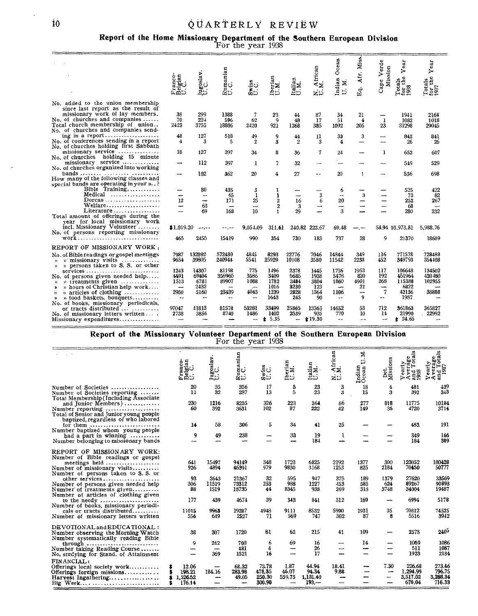# 10  $\dot{Q} U A R T E R L V R E V I E W$

**Report of the Home Missionary Department of the southern European Division**  For the year 1938

|                                                                                                                                                                                                                                   | ó<br>Ъx<br>医四                                    | Jugoslav.<br>U.C.              | manian<br>C<br>Ξ.<br>ಷಿದ                             | Swiss<br>U.C.                    | Iberian<br>U.M.                                      | Italian<br>U.M.              | African<br>M.<br>zö         | cean<br>Ō<br>Indian<br>U.M.                      | Miss.<br>Afr.<br>Eq.      | Cape Verde<br>Mission                         | ear<br>↣<br>$\begin{array}{c}\n\text{Totans} \\ \text{for the} \\ \text{1938}\n\end{array}$ | ear<br>↣<br>Φ<br>o,<br>ੜ੍ਹੰਦ<br>ដឹងនី  |
|-----------------------------------------------------------------------------------------------------------------------------------------------------------------------------------------------------------------------------------|--------------------------------------------------|--------------------------------|------------------------------------------------------|----------------------------------|------------------------------------------------------|------------------------------|-----------------------------|--------------------------------------------------|---------------------------|-----------------------------------------------|---------------------------------------------------------------------------------------------|----------------------------------------|
| No. added to the union membership<br>since last report as the result of<br>missionary work of lay members.<br>No. of churches and companies $\ldots$ .<br>Total church membership of union<br>No. of churches and companies send- | 38<br>70<br>2423                                 | 299<br>221<br>3755             | 1388<br>596<br>18806                                 | 7<br>62<br>2420                  | 23<br>9<br>921                                       | 44<br>48<br>1268             | 87<br>17<br>385             | 34<br>51<br>1092                                 | 21<br>4<br>205            | 1<br>23                                       | 1941<br>1082<br>31298                                                                       | 2164<br>1018<br>29045                  |
| No. of conferences sending in a report<br>No. of churches holding first Sabbath                                                                                                                                                   | 48<br>4                                          | 127<br>3                       | 518<br>5                                             | 49<br>$\boldsymbol{2}$           | 9<br>3                                               | 44<br>2                      | 11<br>3                     | 33<br>4                                          | 3<br>-----                |                                               | 842<br>26                                                                                   | 841<br>26                              |
| missionary service<br>No. of churches holding 15 minute                                                                                                                                                                           | 18                                               | 127                            | 397                                                  | 34                               | 8                                                    | 36                           | 7                           | 24                                               |                           | 1                                             | 652                                                                                         | 607                                    |
| missionary service<br>No. of churches organized into working                                                                                                                                                                      |                                                  | 112                            | 397                                                  | 1                                | 7                                                    | 32                           |                             |                                                  |                           |                                               | 549                                                                                         | 529                                    |
| How many of the following classes and<br>special bands are operating in your $\mu$ ?                                                                                                                                              |                                                  | 102                            | 362                                                  | 20                               | 4                                                    | 27                           | $\sim$ $\sim$               | 20                                               | $\mathbf{1}$              |                                               | 536                                                                                         | 698                                    |
| Bible $Training$<br>Medical                                                                                                                                                                                                       |                                                  | 80<br>--                       | 435<br>65                                            | 3<br>-1                          | 1<br>1                                               | ---                          | 3                           | 6<br>--                                          |                           |                                               | 525<br>73                                                                                   | 422<br>82                              |
| $Doreas \ldots \ldots \ldots \ldots \ldots$<br>Welfare<br>Literature                                                                                                                                                              | 12<br>⊷                                          | -<br>63<br>69                  | 171<br>168                                           | 25<br>---<br>30                  | $\boldsymbol{2}$<br>$\boldsymbol{2}$<br>$\mathbf{1}$ | 16<br>3<br>29                | 6<br>-                      | 20<br>$\overline{\phantom{m}}$<br>3              |                           |                                               | 252<br>68<br>280                                                                            | 267<br>$\overline{\phantom{a}}$<br>232 |
| Total amount of offerings during the<br>vear for local missionary work<br>incl. Missionary Volunteer<br>No. of persons reporting missionary                                                                                       | \$1.019.20                                       |                                |                                                      | 9,054.09                         | 311.61                                               |                              | 240.82 223.67               | 69.48                                            |                           |                                               | 54.94 10.973.81                                                                             | 5,988.76                               |
|                                                                                                                                                                                                                                   | 465                                              | 2455                           | 15419                                                | 990                              | 354                                                  | 730                          | 183                         | 737                                              | 28                        | 9                                             | 21370                                                                                       | 18689                                  |
| REPORT OF MISSIONARY WORK,<br>No. of Bible readings or gospel meetings<br>$\omega$ missionary visits<br>$\mathcal{D}$<br>» persons taken to S. S. or other<br>$\mathcal{V}$                                                       | 7987<br>9654                                     | 132892<br>39805                | 572430<br>240944                                     | 4845<br>5541                     | 8293<br>25929                                        | 22776<br>10108               | 7046<br>3580                | 14344<br>11542                                   | 349<br>2238               | 116<br>452                                    | 771578<br>349793                                                                            | 728488<br>354408                       |
| services<br>No. of persons given needed help<br>$\mathcal{P}$ treatments given $\ldots \ldots \ldots$<br>)<br>$\mathfrak{p}$ hours of Christian help work<br>$\rightarrow$                                                        | 1243<br>4491<br>1513<br>$\overline{\phantom{0}}$ | 14307<br>69404<br>6781<br>2432 | 81198<br>356960<br>89907<br>$\overline{\phantom{a}}$ | 775<br>3586<br>1088<br>          | 1496<br>3409<br>1782<br>1016                         | 2378<br>5686<br>3484<br>3230 | 1445<br>1938<br>3804<br>123 | 1736<br>5478<br>1860<br>$\overline{\phantom{m}}$ | 1953<br>820<br>4901<br>21 | 117<br>192<br>268<br>$\overline{\phantom{a}}$ | 106648<br>451964<br>115388<br>6822                                                          | 134502<br>420480<br>102955             |
| $\mathcal{P}$ articles of clothing $\ldots \ldots \ldots$<br>y)<br>$\mathcal{P}$ food baskets, bouquets<br>»<br>No. of books, missionary periodicals,                                                                             | 2950<br>--                                       | 5160<br>--                     | 23439<br>$\overline{\phantom{m}}$                    | 4043<br>$\overline{\phantom{a}}$ | 1239<br>1643                                         | 2828<br>245                  | 1364<br>90                  | 1106<br>$\overline{\phantom{a}}$                 | -<br>9                    | $\tau$<br>--                                  | 42136<br>1987                                                                               | 38888                                  |
| or tracts distributed<br>No. of missionary letters written<br>Missionary expenditures                                                                                                                                             | 97047<br>2738                                    | 41813<br>3856                  | 81578<br>8740                                        | 53281<br>1486                    | 33499<br>1402<br>5.35<br>ŝ.                          | 25865<br>2539<br>÷-          | 13363<br>935<br>\$19.30     | 14652<br>770<br>$-$                              | 53<br>10<br><b></b>       | 712<br>14                                     | 361863<br>21990<br>\$24.65                                                                  | 365827<br>22992                        |
|                                                                                                                                                                                                                                   |                                                  | <b>R.F. . 4</b>                |                                                      |                                  |                                                      |                              |                             |                                                  |                           | n.                                            |                                                                                             |                                        |

**Report of the Missionary Volunteer Department of the Southern European Division**  For the year 1938

|                                                                                                                                                                                                                                                                                       | $rac{1}{2}$<br>ಕದಲ<br>⊂ם              | Jugoslav.<br>U.C.                      | Rumanian<br>U.C.                          | Swiss<br>U.C.                       | Iberian<br>U.M.                                     | Italian<br>U.M.                       | African<br>M.<br>ZÞ               | Ż.<br>Þ<br>Indian<br>Ocean       | ë<br>Det.<br>Missic                | å<br>early<br>ದ<br>$\begin{array}{c}\n\text{Year} \\ \text{A} \text{year} \\ \text{A} \text{rad} \\ \text{D} \text{38}\n\end{array}$ | otal<br>ЪD<br>Yearly<br>Averag<br>and To<br>1987<br>$\Join$ |
|---------------------------------------------------------------------------------------------------------------------------------------------------------------------------------------------------------------------------------------------------------------------------------------|---------------------------------------|----------------------------------------|-------------------------------------------|-------------------------------------|-----------------------------------------------------|---------------------------------------|-----------------------------------|----------------------------------|------------------------------------|--------------------------------------------------------------------------------------------------------------------------------------|-------------------------------------------------------------|
| Number of Societies<br>Number of Societies reporting                                                                                                                                                                                                                                  | 20<br>11                              | 35<br>32                               | 356<br>287                                | 17<br>13                            | 5<br>5                                              | 23<br>23                              | 3<br>3                            | 18<br>15                         | 4<br>з                             | 481<br>392                                                                                                                           | 439<br>343                                                  |
| Total Membership (Including Associate<br>and Junior Members)<br>Total of Senior and Junior young people<br>baptized, regardless of who labored                                                                                                                                        | 230<br>60                             | 1216<br>392                            | 8255<br>3631                              | 326<br>102                          | 223<br>87                                           | 364<br>222                            | 66<br>42                          | 277<br>149                       | 818<br>35                          | 11775<br>4720                                                                                                                        | 10184<br>3714                                               |
| for them $\ldots$                                                                                                                                                                                                                                                                     | 14                                    | 58                                     | 306                                       | 5                                   | 34                                                  | 41                                    | 25                                |                                  |                                    | 483                                                                                                                                  | 191                                                         |
| Number baptized whom young people<br>had a part in winning $\ldots \ldots \ldots$<br>Number belonging to missionary bands                                                                                                                                                             | 9                                     | 49                                     | 238                                       |                                     | 33                                                  | 19<br>184                             | 1                                 |                                  |                                    | 349<br>184                                                                                                                           | 166<br>389                                                  |
| REPORT OF MISSIONARY WORK:<br>Number of Bible readings or gospel<br>meetings held<br>Number of missionary visits<br>Number of persons taken to S.S. or<br>other services<br>Number of persons given needed help<br>Number of treatments given<br>Number of articles of clothing given | 641<br>926<br>93<br>306<br>88         | 15497<br>4894<br>2643<br>11519<br>1519 | 94149<br>46391<br>21367<br>73312<br>18735 | 348<br>979<br>32<br>253<br>44       | 1723<br>9830<br>595<br>988<br>8345                  | 6825<br>3168<br>947<br>1227<br>938    | 2192<br>1253<br>375<br>453<br>269 | 1377<br>825<br>189<br>585<br>313 | 300<br>2184<br>1379<br>624<br>3748 | 123052<br>70450<br>27620<br>89267<br>34004                                                                                           | 100428<br>50777<br>33569<br>90893<br>19487                  |
| to the needy<br>Number of books, missionary periodi-                                                                                                                                                                                                                                  | 177                                   | 439                                    | 4674                                      | 39                                  | 343                                                 | 841                                   | 312                               | 169                              |                                    | 6994                                                                                                                                 | 5178                                                        |
| cals or tracts distributed<br>Number of missionary letters written                                                                                                                                                                                                                    | 11015<br>556                          | 9963<br>649                            | 19287<br>2527                             | 4948<br>71                          | 9111<br>569                                         | 8532<br>747                           | 5990<br>302                       | 1931<br>87                       | 35<br>8                            | 70812<br>5516                                                                                                                        | 74525<br>3942                                               |
| DEVOTIONAL and EDUCATIONAL:<br>Number observing the Morning Watch<br>Number systematically reading Bible                                                                                                                                                                              | 38                                    | 307                                    | 1720                                      | 81                                  | 62                                                  | 215                                   | 41                                | 109                              |                                    | 2573                                                                                                                                 | 2405                                                        |
| through $\ldots \ldots \ldots \ldots \ldots \ldots \ldots$<br>Number taking Reading Course<br>No. studying for Stand. of Attainment                                                                                                                                                   | 9                                     | 242<br>-<br>369                        | 703<br>481<br>1521                        | 6<br>4<br>16                        | 69                                                  | 16<br>26<br>17                        | $\overline{\phantom{0}}$<br>-     | 14                               |                                    | 1059<br>511<br>1923                                                                                                                  | 1086<br>1087<br>2184                                        |
| FINANCIAL:<br>Offerings local society work<br>Offerings foreign missions<br>Harvest Ingathering<br>Big Week                                                                                                                                                                           | 12.06<br>198.21<br>1,526.52<br>176.14 | 184.16                                 | 68.32<br>283.98<br>49.05                  | 73.78<br>478,35<br>250.30<br>300.90 | 1.87<br>46.07<br>559.75<br>$\overline{\phantom{0}}$ | 44.94<br>94.34<br>1.131.40<br>$193 -$ | 18.41<br>9.88                     |                                  | 7.30<br>---                        | 226.68<br>1.294.99<br>3,517.02<br>670.04                                                                                             | 273.46<br>796.75<br>3,288.34<br>716.33                      |

 $\ddot{\phantom{0}}$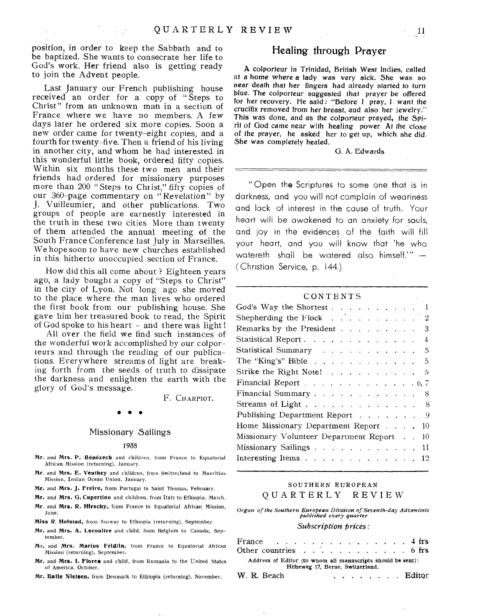position, in order to keep the Sabbath and to be baptized. She wants to consecrate her life to God's work. Her friend also is getting ready to join the Advent people.

Last January our French publishing house received an order for a copy of " Steps to Christ" from an unknown man in a section of France where we have no members. A few days later he ordered six more copies. Soon a new order came for twenty-eight copies, and a fourth for twenty-five. Then a friend of his living in another city, and whom he had interested in this wonderful little book, ordered fifty copies. Within six months these two men and their friends had ordered for missionary purposes more than 200 "Steps to Christ," fifty copies of our 360-page commentary on " Revelation" by J. Vuilleumier, and other publications. Two groups of people are earnestly interested in the truth in these two cities More than twenty of them attended the annual meeting of the South France Conference last July in Marseilles. We hope soon to have new churches established in this hitherto unoccupied section of France.

How did this all come about ? Eighteen years ago, a lady bought a copy of "Steps to Christ" in the city of Lyon. Not long ago she moved to the place where the man lives who ordered the first book from our publishing house. She gave him her treasured book to read, the Spirit of God spoke to his heart - and there was light!

All over the field we find such instances of the wonderful work accomplished by our colporteurs and through the reading of our publications. Everywhere streams of light are breaking forth from the seeds of truth to dissipate the darkness and enlighten the earth with the glory of God's message.

F. CHARPIOT.

# • • •

#### Missionary Sailings

#### 1938

- Mr. and Mrs. P. Benezech and children, from France to Equatorial African Mission (returning), January.
- **Mr.** and **Mrs. E. Veuthey** and children, from Switzerland to Mauritius Mission, Indian Ocean Union, January.
- **Mr.** and **Mrs. J. Freire,** from Portugal to Saint Thomas, February.

**Mr.** and **Mrs. G. Cupertino** and children, from Italy to Ethiopia, March.

- **Mr,** and **Mrs. R. Hirschy,** from France to Equatorial African Mission, June.
- **Miss R. Hofstad,** from Norway to Ethiopia (returning), September.
- **Mr.** and **Mrs. A. Lecoultre** and child, from Belgium to Canada, September.
- Mr. and **Mrs. Marius Fridlin,** from France to Equatorial African Mission (returning), September.
- **Mr.** and **Mrs. 1. Flores** and child, from Rumania to the United States of America. October. of America, October. Hoheweg 17, Berne, Switzerland.

**Mr. Balle Nielsen,** from Denmark to Ethiopia (returning), November. W. R. Beach Editor

#### Healing through Prayer

A colporteur in Trinidad, British West Indies, called at a home where a lady was very sick. She was so near death that her fingers had already started to turn blue. The colporteur suggested that prayer be offered for her recovery. He said: "Before I pray, I want the crucifix removed from her breast, and also her jewelry." This was done, and as the colporteur prayed, the Spirit of God came near with healing power. At the close of the prayer, he asked her to get up, which she did. She was completely healed.

#### G. A. Edwards

"Open the Scriptures to some one that is in darkness, and you will not complain of weariness and lack of interest in the cause of truth. Your heart will be awakened to an anxiety for souls, and joy in the evidences of the faith will fill your heart, and you will know that 'he who watereth shall be watered also himself."  $-$ (Christian Service, p. 144.)

| CONTENTS<br>and the control of the con-                                    |
|----------------------------------------------------------------------------|
| God's Way the Shortest 1                                                   |
| Shepherding the Flock $\ldots$ $\ldots$ $\ldots$ $\ldots$ 2                |
| Remarks by the President 3                                                 |
| Statistical Report 4                                                       |
| Statistical Summary 5                                                      |
| The "King's" Bible $\ldots$ $\ldots$ $\ldots$ $\ldots$<br>5                |
| Strike the Right Note!<br>$\bar{\mathbf{d}}$                               |
| Financial Report $\ldots$ $\ldots$ $\ldots$ $\ldots$ $\ldots$ $\ldots$ 6,7 |
| Financial Summary<br>8                                                     |
| Streams of Light 8                                                         |
| Publishing Department Report 9                                             |
| Home Missionary Department Report 10                                       |
| Missionary Volunteer Department Report<br>10                               |
| Missionary Sailings 11                                                     |
| Interesting Items 12                                                       |

#### SOUTHERN EUROPEAN QUARTERLY REVIEW

*Organ of the Southern European Division of Seventh-day Adventists published every quarter* 

#### *Subscription prices:*

| France 4 frs<br>Other countries $\ldots$ 6 frs |                                                             |  |  |                                 |  |  |  |  |  |               |
|------------------------------------------------|-------------------------------------------------------------|--|--|---------------------------------|--|--|--|--|--|---------------|
|                                                | Address of Editor (to whom all manuscripts should be sent): |  |  | Höheweg 17, Berne, Switzerland. |  |  |  |  |  |               |
| W. R. Beach                                    |                                                             |  |  |                                 |  |  |  |  |  | <u>Editor</u> |